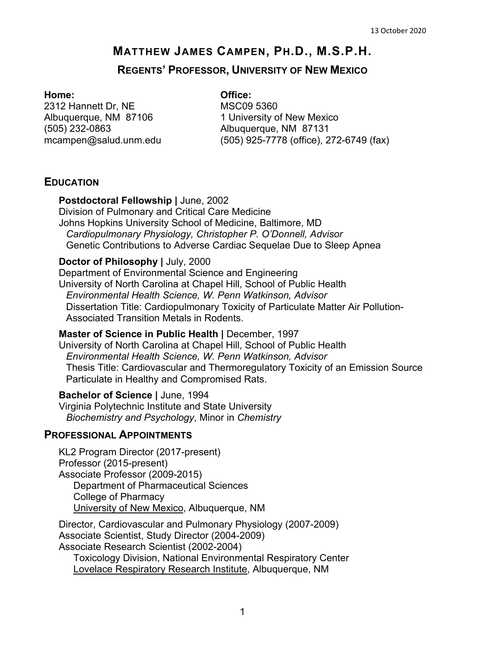# **MATTHEW JAMES CAMPEN, PH.D., M.S.P.H.**

### **REGENTS' PROFESSOR, UNIVERSITY OF NEW MEXICO**

### **Home: Office:**

2312 Hannett Dr, NE MSC09 5360 (505) 232-0863 Albuquerque, NM 87131

Albuquerque, NM 87106 1 University of New Mexico (505) 925-7778 (office), 272-6749 (fax)

## **EDUCATION**

### **Postdoctoral Fellowship |** June, 2002

Division of Pulmonary and Critical Care Medicine Johns Hopkins University School of Medicine, Baltimore, MD *Cardiopulmonary Physiology, Christopher P. O'Donnell, Advisor* Genetic Contributions to Adverse Cardiac Sequelae Due to Sleep Apnea

### **Doctor of Philosophy |** July, 2000

Department of Environmental Science and Engineering University of North Carolina at Chapel Hill, School of Public Health *Environmental Health Science, W. Penn Watkinson, Advisor* Dissertation Title: Cardiopulmonary Toxicity of Particulate Matter Air Pollution-Associated Transition Metals in Rodents.

### **Master of Science in Public Health | December, 1997**

University of North Carolina at Chapel Hill, School of Public Health *Environmental Health Science, W. Penn Watkinson, Advisor* Thesis Title: Cardiovascular and Thermoregulatory Toxicity of an Emission Source Particulate in Healthy and Compromised Rats.

### **Bachelor of Science |** June, 1994

Virginia Polytechnic Institute and State University *Biochemistry and Psychology*, Minor in *Chemistry*

### **PROFESSIONAL APPOINTMENTS**

KL2 Program Director (2017-present) Professor (2015-present) Associate Professor (2009-2015) Department of Pharmaceutical Sciences College of Pharmacy University of New Mexico, Albuquerque, NM

Director, Cardiovascular and Pulmonary Physiology (2007-2009) Associate Scientist, Study Director (2004-2009) Associate Research Scientist (2002-2004) Toxicology Division, National Environmental Respiratory Center Lovelace Respiratory Research Institute, Albuquerque, NM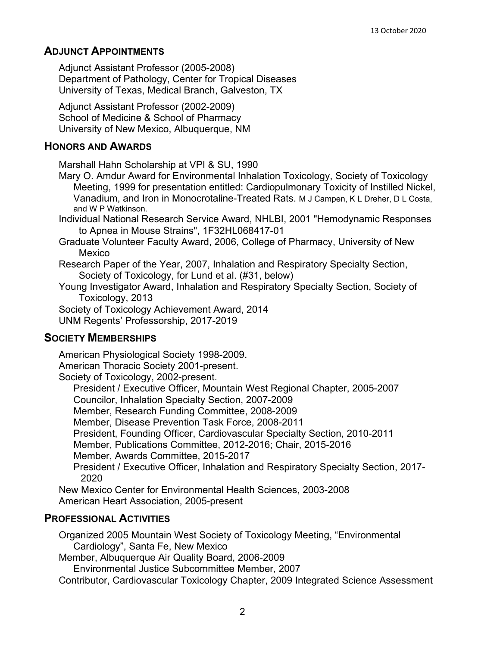## **ADJUNCT APPOINTMENTS**

Adjunct Assistant Professor (2005-2008) Department of Pathology, Center for Tropical Diseases University of Texas, Medical Branch, Galveston, TX

Adjunct Assistant Professor (2002-2009) School of Medicine & School of Pharmacy University of New Mexico, Albuquerque, NM

## **HONORS AND AWARDS**

Marshall Hahn Scholarship at VPI & SU, 1990

- Mary O. Amdur Award for Environmental Inhalation Toxicology, Society of Toxicology Meeting, 1999 for presentation entitled: Cardiopulmonary Toxicity of Instilled Nickel, Vanadium, and Iron in Monocrotaline-Treated Rats. M J Campen, K L Dreher, D L Costa, and W P Watkinson.
- Individual National Research Service Award, NHLBI, 2001 "Hemodynamic Responses to Apnea in Mouse Strains", 1F32HL068417-01
- Graduate Volunteer Faculty Award, 2006, College of Pharmacy, University of New Mexico
- Research Paper of the Year, 2007, Inhalation and Respiratory Specialty Section, Society of Toxicology, for Lund et al. (#31, below)
- Young Investigator Award, Inhalation and Respiratory Specialty Section, Society of Toxicology, 2013
- Society of Toxicology Achievement Award, 2014
- UNM Regents' Professorship, 2017-2019

## **SOCIETY MEMBERSHIPS**

American Physiological Society 1998-2009. American Thoracic Society 2001-present. Society of Toxicology, 2002-present. President / Executive Officer, Mountain West Regional Chapter, 2005-2007 Councilor, Inhalation Specialty Section, 2007-2009 Member, Research Funding Committee, 2008-2009 Member, Disease Prevention Task Force, 2008-2011 President, Founding Officer, Cardiovascular Specialty Section, 2010-2011 Member, Publications Committee, 2012-2016; Chair, 2015-2016 Member, Awards Committee, 2015-2017 President / Executive Officer, Inhalation and Respiratory Specialty Section, 2017- 2020 New Mexico Center for Environmental Health Sciences, 2003-2008 American Heart Association, 2005-present

## **PROFESSIONAL ACTIVITIES**

Organized 2005 Mountain West Society of Toxicology Meeting, "Environmental Cardiology", Santa Fe, New Mexico Member, Albuquerque Air Quality Board, 2006-2009 Environmental Justice Subcommittee Member, 2007 Contributor, Cardiovascular Toxicology Chapter, 2009 Integrated Science Assessment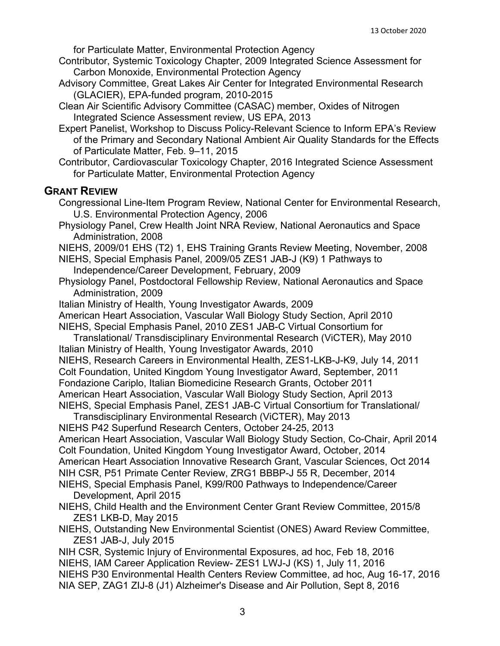for Particulate Matter, Environmental Protection Agency

- Contributor, Systemic Toxicology Chapter, 2009 Integrated Science Assessment for Carbon Monoxide, Environmental Protection Agency
- Advisory Committee, Great Lakes Air Center for Integrated Environmental Research (GLACIER), EPA-funded program, 2010-2015
- Clean Air Scientific Advisory Committee (CASAC) member, Oxides of Nitrogen Integrated Science Assessment review, US EPA, 2013
- Expert Panelist, Workshop to Discuss Policy-Relevant Science to Inform EPA's Review of the Primary and Secondary National Ambient Air Quality Standards for the Effects of Particulate Matter, Feb. 9–11, 2015
- Contributor, Cardiovascular Toxicology Chapter, 2016 Integrated Science Assessment for Particulate Matter, Environmental Protection Agency

## **GRANT REVIEW**

- Congressional Line-Item Program Review, National Center for Environmental Research, U.S. Environmental Protection Agency, 2006
- Physiology Panel, Crew Health Joint NRA Review, National Aeronautics and Space Administration, 2008
- NIEHS, 2009/01 EHS (T2) 1, EHS Training Grants Review Meeting, November, 2008
- NIEHS, Special Emphasis Panel, 2009/05 ZES1 JAB-J (K9) 1 Pathways to Independence/Career Development, February, 2009
- Physiology Panel, Postdoctoral Fellowship Review, National Aeronautics and Space Administration, 2009
- Italian Ministry of Health, Young Investigator Awards, 2009
- American Heart Association, Vascular Wall Biology Study Section, April 2010
- NIEHS, Special Emphasis Panel, 2010 ZES1 JAB-C Virtual Consortium for Translational/ Transdisciplinary Environmental Research (ViCTER), May 2010
- Italian Ministry of Health, Young Investigator Awards, 2010 NIEHS, Research Careers in Environmental Health, ZES1-LKB-J-K9, July 14, 2011 Colt Foundation, United Kingdom Young Investigator Award, September, 2011 Fondazione Cariplo, Italian Biomedicine Research Grants, October 2011 American Heart Association, Vascular Wall Biology Study Section, April 2013 NIEHS, Special Emphasis Panel, ZES1 JAB-C Virtual Consortium for Translational/
- Transdisciplinary Environmental Research (ViCTER), May 2013 NIEHS P42 Superfund Research Centers, October 24-25, 2013 American Heart Association, Vascular Wall Biology Study Section, Co-Chair, April 2014 Colt Foundation, United Kingdom Young Investigator Award, October, 2014 American Heart Association Innovative Research Grant, Vascular Sciences, Oct 2014
- NIH CSR, P51 Primate Center Review, ZRG1 BBBP-J 55 R, December, 2014 NIEHS, Special Emphasis Panel, K99/R00 Pathways to Independence/Career
	- Development, April 2015
- NIEHS, Child Health and the Environment Center Grant Review Committee, 2015/8 ZES1 LKB-D, May 2015
- NIEHS, Outstanding New Environmental Scientist (ONES) Award Review Committee, ZES1 JAB-J, July 2015
- NIH CSR, Systemic Injury of Environmental Exposures, ad hoc, Feb 18, 2016 NIEHS, IAM Career Application Review- ZES1 LWJ-J (KS) 1, July 11, 2016 NIEHS P30 Environmental Health Centers Review Committee, ad hoc, Aug 16-17, 2016 NIA SEP, ZAG1 ZIJ-8 (J1) Alzheimer's Disease and Air Pollution, Sept 8, 2016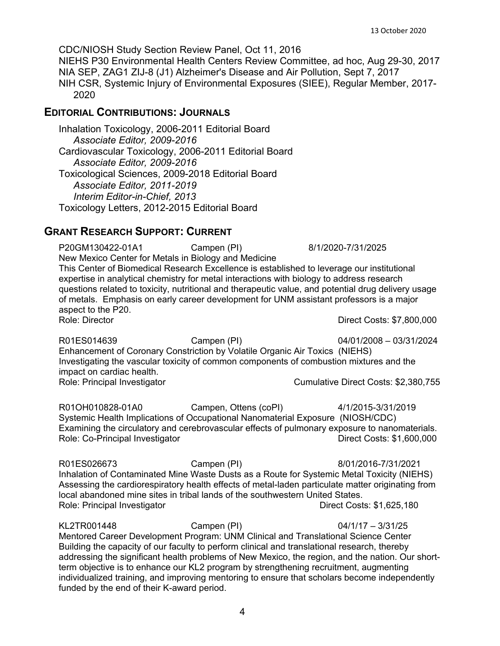13 October 2020

CDC/NIOSH Study Section Review Panel, Oct 11, 2016

NIEHS P30 Environmental Health Centers Review Committee, ad hoc, Aug 29-30, 2017 NIA SEP, ZAG1 ZIJ-8 (J1) Alzheimer's Disease and Air Pollution, Sept 7, 2017 NIH CSR, Systemic Injury of Environmental Exposures (SIEE), Regular Member, 2017- 2020

## **EDITORIAL CONTRIBUTIONS: JOURNALS**

Inhalation Toxicology, 2006-2011 Editorial Board *Associate Editor, 2009-2016* Cardiovascular Toxicology, 2006-2011 Editorial Board *Associate Editor, 2009-2016* Toxicological Sciences, 2009-2018 Editorial Board *Associate Editor, 2011-2019 Interim Editor-in-Chief, 2013* Toxicology Letters, 2012-2015 Editorial Board

# **GRANT RESEARCH SUPPORT: CURRENT**

P20GM130422-01A1 Campen (PI) 8/1/2020-7/31/2025 New Mexico Center for Metals in Biology and Medicine This Center of Biomedical Research Excellence is established to leverage our institutional expertise in analytical chemistry for metal interactions with biology to address research questions related to toxicity, nutritional and therapeutic value, and potential drug delivery usage of metals. Emphasis on early career development for UNM assistant professors is a major aspect to the P20.<br>Role: Director Direct Costs: \$7,800,000

R01ES014639 Campen (PI) 04/01/2008 – 03/31/2024 Enhancement of Coronary Constriction by Volatile Organic Air Toxics (NIEHS) Investigating the vascular toxicity of common components of combustion mixtures and the impact on cardiac health. Role: Principal Investigator **Cumulative Direct Costs: \$2,380,755** Cumulative Direct Costs: \$2,380,755

R01OH010828-01A0 Campen, Ottens (coPI) 4/1/2015-3/31/2019 Systemic Health Implications of Occupational Nanomaterial Exposure (NIOSH/CDC) Examining the circulatory and cerebrovascular effects of pulmonary exposure to nanomaterials. Role: Co-Principal Investigator **Direct Costs: \$1,600,000** Direct Costs: \$1,600,000

R01ES026673 Campen (PI) 8/01/2016-7/31/2021 Inhalation of Contaminated Mine Waste Dusts as a Route for Systemic Metal Toxicity (NIEHS) Assessing the cardiorespiratory health effects of metal-laden particulate matter originating from local abandoned mine sites in tribal lands of the southwestern United States. Role: Principal Investigator **Direct Costs: \$1,625,180** 

KL2TR001448 Campen (PI) 04/1/17 – 3/31/25 Mentored Career Development Program: UNM Clinical and Translational Science Center Building the capacity of our faculty to perform clinical and translational research, thereby addressing the significant health problems of New Mexico, the region, and the nation. Our shortterm objective is to enhance our KL2 program by strengthening recruitment, augmenting individualized training, and improving mentoring to ensure that scholars become independently funded by the end of their K-award period.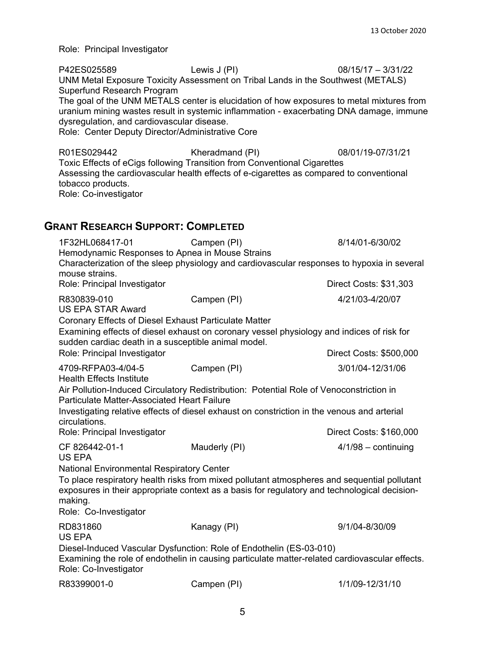Role: Principal Investigator

P42ES025589 Lewis J (PI) 08/15/17 – 3/31/22 UNM Metal Exposure Toxicity Assessment on Tribal Lands in the Southwest (METALS) Superfund Research Program The goal of the UNM METALS center is elucidation of how exposures to metal mixtures from uranium mining wastes result in systemic inflammation - exacerbating DNA damage, immune dysregulation, and cardiovascular disease. Role: Center Deputy Director/Administrative Core R01ES029442 Kheradmand (PI) 08/01/19-07/31/21 Toxic Effects of eCigs following Transition from Conventional Cigarettes Assessing the cardiovascular health effects of e-cigarettes as compared to conventional tobacco products. Role: Co-investigator

## **GRANT RESEARCH SUPPORT: COMPLETED**

| 1F32HL068417-01<br>Hemodynamic Responses to Apnea in Mouse Strains                                                                                                                                                                    | Campen (PI)                                                                                                                                                                                 | 8/14/01-6/30/02         |  |  |
|---------------------------------------------------------------------------------------------------------------------------------------------------------------------------------------------------------------------------------------|---------------------------------------------------------------------------------------------------------------------------------------------------------------------------------------------|-------------------------|--|--|
| mouse strains.                                                                                                                                                                                                                        | Characterization of the sleep physiology and cardiovascular responses to hypoxia in several                                                                                                 |                         |  |  |
| Role: Principal Investigator                                                                                                                                                                                                          |                                                                                                                                                                                             | Direct Costs: \$31,303  |  |  |
| R830839-010<br><b>US EPA STAR Award</b>                                                                                                                                                                                               | Campen (PI)                                                                                                                                                                                 | 4/21/03-4/20/07         |  |  |
| Coronary Effects of Diesel Exhaust Particulate Matter                                                                                                                                                                                 |                                                                                                                                                                                             |                         |  |  |
| Examining effects of diesel exhaust on coronary vessel physiology and indices of risk for<br>sudden cardiac death in a susceptible animal model.                                                                                      |                                                                                                                                                                                             |                         |  |  |
| Role: Principal Investigator                                                                                                                                                                                                          |                                                                                                                                                                                             | Direct Costs: \$500,000 |  |  |
| 4709-RFPA03-4/04-5<br><b>Health Effects Institute</b>                                                                                                                                                                                 | Campen (PI)                                                                                                                                                                                 | 3/01/04-12/31/06        |  |  |
| Air Pollution-Induced Circulatory Redistribution: Potential Role of Venoconstriction in<br>Particulate Matter-Associated Heart Failure<br>Investigating relative effects of diesel exhaust on constriction in the venous and arterial |                                                                                                                                                                                             |                         |  |  |
| circulations.                                                                                                                                                                                                                         |                                                                                                                                                                                             |                         |  |  |
| Role: Principal Investigator                                                                                                                                                                                                          |                                                                                                                                                                                             | Direct Costs: \$160,000 |  |  |
| CF 826442-01-1<br><b>US EPA</b>                                                                                                                                                                                                       | Mauderly (PI)                                                                                                                                                                               | $4/1/98$ - continuing   |  |  |
| <b>National Environmental Respiratory Center</b>                                                                                                                                                                                      |                                                                                                                                                                                             |                         |  |  |
| making.<br>Role: Co-Investigator                                                                                                                                                                                                      | To place respiratory health risks from mixed pollutant atmospheres and sequential pollutant<br>exposures in their appropriate context as a basis for regulatory and technological decision- |                         |  |  |
| RD831860<br><b>US EPA</b>                                                                                                                                                                                                             | Kanagy (PI)                                                                                                                                                                                 | 9/1/04-8/30/09          |  |  |
| Diesel-Induced Vascular Dysfunction: Role of Endothelin (ES-03-010)<br>Examining the role of endothelin in causing particulate matter-related cardiovascular effects.<br>Role: Co-Investigator                                        |                                                                                                                                                                                             |                         |  |  |
| R83399001-0                                                                                                                                                                                                                           | Campen (PI)                                                                                                                                                                                 | 1/1/09-12/31/10         |  |  |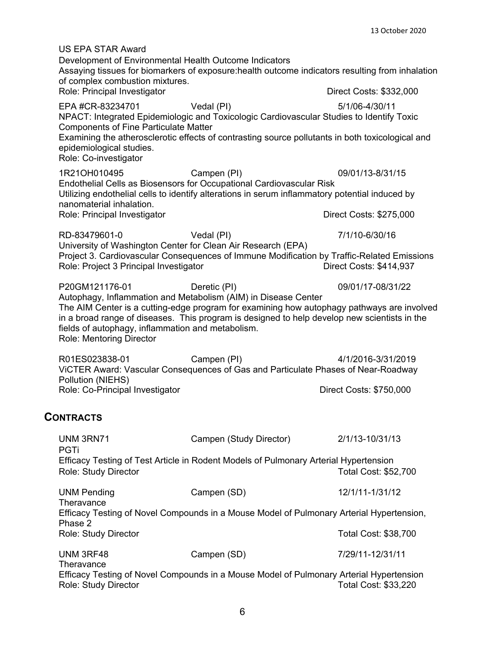US EPA STAR Award Development of Environmental Health Outcome Indicators Assaying tissues for biomarkers of exposure:health outcome indicators resulting from inhalation of complex combustion mixtures. Role: Principal Investigator **Direct Costs: \$332,000** EPA #CR-83234701 Vedal (PI) 5/1/06-4/30/11 NPACT: Integrated Epidemiologic and Toxicologic Cardiovascular Studies to Identify Toxic Components of Fine Particulate Matter Examining the atherosclerotic effects of contrasting source pollutants in both toxicological and epidemiological studies. Role: Co-investigator 1R21OH010495 Campen (PI) 09/01/13-8/31/15 Endothelial Cells as Biosensors for Occupational Cardiovascular Risk Utilizing endothelial cells to identify alterations in serum inflammatory potential induced by nanomaterial inhalation. Role: Principal Investigator **Direct Costs: \$275,000** RD-83479601-0 Vedal (PI) 7/1/10-6/30/16 University of Washington Center for Clean Air Research (EPA) Project 3. Cardiovascular Consequences of Immune Modification by Traffic-Related Emissions Role: Project 3 Principal Investigator P20GM121176-01 Deretic (PI) 09/01/17-08/31/22 Autophagy, Inflammation and Metabolism (AIM) in Disease Center The AIM Center is a cutting-edge program for examining how autophagy pathways are involved in a broad range of diseases. This program is designed to help develop new scientists in the fields of autophagy, inflammation and metabolism. Role: Mentoring Director R01ES023838-01 Campen (PI) 4/1/2016-3/31/2019 ViCTER Award: Vascular Consequences of Gas and Particulate Phases of Near-Roadway Pollution (NIEHS) Role: Co-Principal Investigator **Direct Costs: \$750,000 CONTRACTS** UNM 3RN71 Campen (Study Director) 2/1/13-10/31/13 PGTi Efficacy Testing of Test Article in Rodent Models of Pulmonary Arterial Hypertension Role: Study Director **National Cost: \$52,700** UNM Pending Campen (SD) 12/1/11-1/31/12 **Theravance** Efficacy Testing of Novel Compounds in a Mouse Model of Pulmonary Arterial Hypertension, Phase 2 Role: Study Director **National Cost: \$38,700** Total Cost: \$38,700 UNM 3RF48 Campen (SD) 7/29/11-12/31/11 **Theravance** 

Efficacy Testing of Novel Compounds in a Mouse Model of Pulmonary Arterial Hypertension Role: Study Director **National Cost: \$33,220**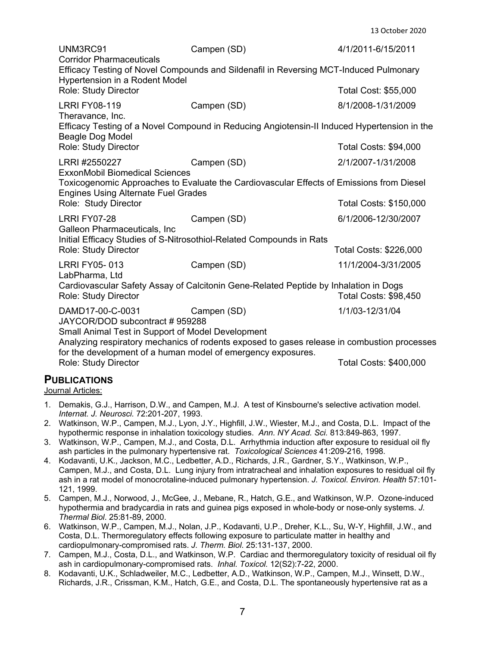13 October 2020

| UNM3RC91<br><b>Corridor Pharmaceuticals</b>                                                                                                                                                                                                                                                                                                                                          | Campen (SD)                                                                                                   | 4/1/2011-6/15/2011            |  |  |
|--------------------------------------------------------------------------------------------------------------------------------------------------------------------------------------------------------------------------------------------------------------------------------------------------------------------------------------------------------------------------------------|---------------------------------------------------------------------------------------------------------------|-------------------------------|--|--|
|                                                                                                                                                                                                                                                                                                                                                                                      | Efficacy Testing of Novel Compounds and Sildenafil in Reversing MCT-Induced Pulmonary                         |                               |  |  |
| Hypertension in a Rodent Model<br>Role: Study Director                                                                                                                                                                                                                                                                                                                               |                                                                                                               | Total Cost: \$55,000          |  |  |
| <b>LRRI FY08-119</b>                                                                                                                                                                                                                                                                                                                                                                 | Campen (SD)                                                                                                   | 8/1/2008-1/31/2009            |  |  |
| Theravance, Inc.<br>Beagle Dog Model                                                                                                                                                                                                                                                                                                                                                 | Efficacy Testing of a Novel Compound in Reducing Angiotensin-II Induced Hypertension in the                   |                               |  |  |
| Role: Study Director                                                                                                                                                                                                                                                                                                                                                                 |                                                                                                               | <b>Total Costs: \$94,000</b>  |  |  |
| LRRI #2550227                                                                                                                                                                                                                                                                                                                                                                        | Campen (SD)                                                                                                   | 2/1/2007-1/31/2008            |  |  |
| <b>ExxonMobil Biomedical Sciences</b><br>Toxicogenomic Approaches to Evaluate the Cardiovascular Effects of Emissions from Diesel<br><b>Engines Using Alternate Fuel Grades</b>                                                                                                                                                                                                      |                                                                                                               |                               |  |  |
| Role: Study Director                                                                                                                                                                                                                                                                                                                                                                 |                                                                                                               | <b>Total Costs: \$150,000</b> |  |  |
| <b>LRRI FY07-28</b>                                                                                                                                                                                                                                                                                                                                                                  | Campen (SD)                                                                                                   | 6/1/2006-12/30/2007           |  |  |
| Galleon Pharmaceuticals, Inc                                                                                                                                                                                                                                                                                                                                                         | Initial Efficacy Studies of S-Nitrosothiol-Related Compounds in Rats                                          |                               |  |  |
| Role: Study Director                                                                                                                                                                                                                                                                                                                                                                 |                                                                                                               | Total Costs: \$226,000        |  |  |
| <b>LRRI FY05-013</b><br>LabPharma, Ltd                                                                                                                                                                                                                                                                                                                                               | Campen (SD)                                                                                                   | 11/1/2004-3/31/2005           |  |  |
| Role: Study Director                                                                                                                                                                                                                                                                                                                                                                 | Cardiovascular Safety Assay of Calcitonin Gene-Related Peptide by Inhalation in Dogs<br>Total Costs: \$98,450 |                               |  |  |
| DAMD17-00-C-0031<br>JAYCOR/DOD subcontract #959288                                                                                                                                                                                                                                                                                                                                   | Campen (SD)                                                                                                   | 1/1/03-12/31/04               |  |  |
| Small Animal Test in Support of Model Development<br>Analyzing respiratory mechanics of rodents exposed to gases release in combustion processes<br>$\mathbf{r}$ , and the set of the set of the set of the set of the set of the set of the set of the set of the set of the set of the set of the set of the set of the set of the set of the set of the set of the set of the set |                                                                                                               |                               |  |  |

for the development of a human model of emergency exposures. Role: Study Director **The Costs: \$400,000** Total Costs: \$400,000

## **PUBLICATIONS**

Journal Articles:

- 1. Demakis, G.J., Harrison, D.W., and Campen, M.J. A test of Kinsbourne's selective activation model. *Internat. J. Neurosci.* 72:201-207, 1993.
- 2. Watkinson, W.P., Campen, M.J., Lyon, J.Y., Highfill, J.W., Wiester, M.J., and Costa, D.L. Impact of the hypothermic response in inhalation toxicology studies. *Ann. NY Acad. Sci.* 813:849-863, 1997.
- 3. Watkinson, W.P., Campen, M.J., and Costa, D.L. Arrhythmia induction after exposure to residual oil fly ash particles in the pulmonary hypertensive rat. *Toxicological Sciences* 41:209-216, 1998*.*
- 4. Kodavanti, U.K., Jackson, M.C., Ledbetter, A.D., Richards, J.R., Gardner, S.Y., Watkinson, W.P., Campen, M.J., and Costa, D.L. Lung injury from intratracheal and inhalation exposures to residual oil fly ash in a rat model of monocrotaline-induced pulmonary hypertension. *J. Toxicol. Environ. Health* 57:101- 121, 1999.
- 5. Campen, M.J., Norwood, J., McGee, J., Mebane, R., Hatch, G.E., and Watkinson, W.P. Ozone-induced hypothermia and bradycardia in rats and guinea pigs exposed in whole-body or nose-only systems. *J. Thermal Biol*. 25:81-89, 2000.
- 6. Watkinson, W.P., Campen, M.J., Nolan, J.P., Kodavanti, U.P., Dreher, K.L., Su, W-Y, Highfill, J.W., and Costa, D.L. Thermoregulatory effects following exposure to particulate matter in healthy and cardiopulmonary-compromised rats. *J. Therm. Biol*. 25:131-137, 2000.
- 7. Campen, M.J., Costa, D.L., and Watkinson, W.P. Cardiac and thermoregulatory toxicity of residual oil fly ash in cardiopulmonary-compromised rats. *Inhal. Toxicol.* 12(S2):7-22, 2000.
- 8. Kodavanti, U.K., Schladweiler, M.C., Ledbetter, A.D., Watkinson, W.P., Campen, M.J., Winsett, D.W., Richards, J.R., Crissman, K.M., Hatch, G.E., and Costa, D.L. The spontaneously hypertensive rat as a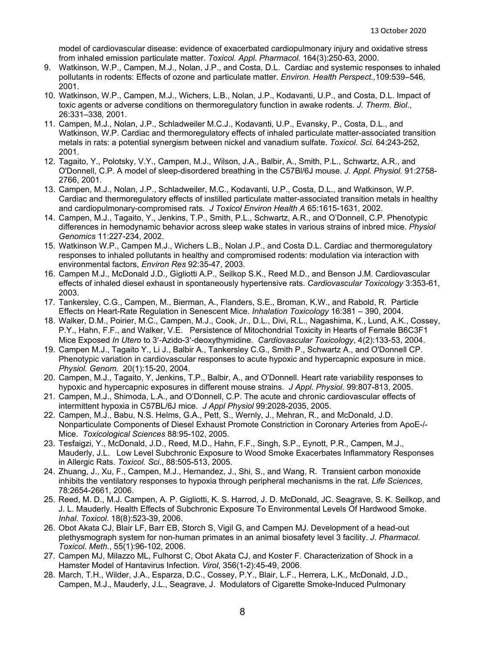model of cardiovascular disease: evidence of exacerbated cardiopulmonary injury and oxidative stress from inhaled emission particulate matter. *Toxicol. Appl. Pharmacol.* 164(3):250-63, 2000.

- 9. Watkinson, W.P., Campen, M.J., Nolan, J.P., and Costa, D.L. Cardiac and systemic responses to inhaled pollutants in rodents: Effects of ozone and particulate matter. *Environ. Health Perspect.,*109:539–546*,*  2001.
- 10. Watkinson, W.P., Campen, M.J., Wichers, L.B., Nolan, J.P., Kodavanti, U.P., and Costa, D.L. Impact of toxic agents or adverse conditions on thermoregulatory function in awake rodents. *J. Therm. Biol*., 26:331–338*,* 2001.
- 11. Campen, M.J., Nolan, J.P., Schladweiler M.C.J., Kodavanti, U.P., Evansky, P., Costa, D.L., and Watkinson, W.P. Cardiac and thermoregulatory effects of inhaled particulate matter-associated transition metals in rats: a potential synergism between nickel and vanadium sulfate. *Toxicol. Sci.* 64:243-252, 2001.
- 12. Tagaito, Y., Polotsky, V.Y., Campen, M.J., Wilson, J.A., Balbir, A., Smith, P.L., Schwartz, A.R., and O'Donnell, C.P. A model of sleep-disordered breathing in the C57Bl/6J mouse. *J. Appl. Physiol.* 91:2758- 2766, 2001.
- 13. Campen, M.J., Nolan, J.P., Schladweiler, M.C., Kodavanti, U.P., Costa, D.L., and Watkinson, W.P. Cardiac and thermoregulatory effects of instilled particulate matter-associated transition metals in healthy and cardiopulmonary-compromised rats. *J Toxicol Environ Health A* 65:1615-1631, 2002.
- 14. Campen, M.J., Tagaito, Y., Jenkins, T.P., Smith, P.L., Schwartz, A.R., and O'Donnell, C.P. Phenotypic differences in hemodynamic behavior across sleep wake states in various strains of inbred mice. *Physiol Genomics* 11:227-234, 2002.
- 15. Watkinson W.P., Campen M.J., Wichers L.B., Nolan J.P., and Costa D.L. Cardiac and thermoregulatory responses to inhaled pollutants in healthy and compromised rodents: modulation via interaction with environmental factors, *Environ Res* 92:35-47, 2003.
- 16. Campen M.J., McDonald J.D., Gigliotti A.P., Seilkop S.K., Reed M.D., and Benson J.M. Cardiovascular effects of inhaled diesel exhaust in spontaneously hypertensive rats. *Cardiovascular Toxicology* 3:353-61, 2003.
- 17. Tankersley, C.G., Campen, M., Bierman, A., Flanders, S.E., Broman, K.W., and Rabold, R. Particle Effects on Heart-Rate Regulation in Senescent Mice. *Inhalation Toxicology* 16:381 – 390, 2004.
- 18. Walker, D.M., Poirier, M.C., Campen, M.J., Cook, Jr., D.L., Divi, R.L., Nagashima, K., Lund, A.K., Cossey, P.Y., Hahn, F.F., and Walker, V.E. Persistence of Mitochondrial Toxicity in Hearts of Female B6C3F1 Mice Exposed *In Utero* to 3′-Azido-3′-deoxythymidine. *Cardiovascular Toxicology*, 4(2):133-53, 2004.
- 19. Campen M.J., Tagaito Y., Li J., Balbir A., Tankersley C.G., Smith P., Schwartz A., and O'Donnell CP. Phenotypic variation in cardiovascular responses to acute hypoxic and hypercapnic exposure in mice. *Physiol. Genom.* 20(1):15-20, 2004.
- 20. Campen, M.J., Tagaito, Y, Jenkins, T.P., Balbir, A., and O'Donnell. Heart rate variability responses to hypoxic and hypercapnic exposures in different mouse strains. *J Appl. Physiol*. 99:807-813, 2005.
- 21. Campen, M.J., Shimoda, L.A., and O'Donnell, C.P. The acute and chronic cardiovascular effects of intermittent hypoxia in C57BL/6J mice. *J Appl Physiol* 99:2028-2035, 2005.
- 22. Campen, M.J., Babu, N.S. Helms, G.A., Pett, S., Wernly, J., Mehran, R., and McDonald, J.D. Nonparticulate Components of Diesel Exhaust Promote Constriction in Coronary Arteries from ApoE-/- Mice. *Toxicological Sciences* 88:95-102, 2005.
- 23. Tesfaigzi, Y., McDonald, J.D., Reed, M.D., Hahn, F.F., Singh, S.P., Eynott, P.R., Campen, M.J., Mauderly, J.L. Low Level Subchronic Exposure to Wood Smoke Exacerbates Inflammatory Responses in Allergic Rats. *Toxicol. Sci*., 88:505-513, 2005.
- 24. Zhuang, J., Xu, F., Campen, M.J., Hernandez, J., Shi, S., and Wang, R. Transient carbon monoxide inhibits the ventilatory responses to hypoxia through peripheral mechanisms in the rat. *Life Sciences*, 78:2654-2661, 2006.
- 25. Reed, M. D., M.J. Campen, A. P. Gigliotti, K. S. Harrod, J. D. McDonald, JC. Seagrave, S. K. Seilkop, and J. L. Mauderly. Health Effects of Subchronic Exposure To Environmental Levels Of Hardwood Smoke. *Inhal. Toxicol.* 18(8):523-39, 2006.
- 26. Obot Akata CJ, Blair LF, Barr EB, Storch S, Vigil G, and Campen MJ. Development of a head-out plethysmograph system for non-human primates in an animal biosafety level 3 facility. *J. Pharmacol. Toxicol. Meth.*, 55(1):96-102, 2006.
- 27. Campen MJ, Milazzo ML, Fulhorst C, Obot Akata CJ, and Koster F. Characterization of Shock in a Hamster Model of Hantavirus Infection. *Virol*, 356(1-2):45-49, 2006.
- 28. March, T.H., Wilder, J.A., Esparza, D.C., Cossey, P.Y., Blair, L.F., Herrera, L.K., McDonald, J.D., Campen, M.J., Mauderly, J.L., Seagrave, J. Modulators of Cigarette Smoke-Induced Pulmonary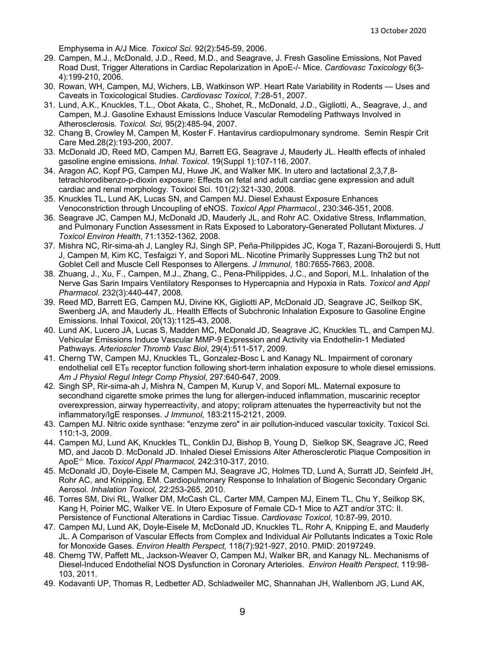Emphysema in A/J Mice. *Toxicol Sci.* 92(2):545-59, 2006.

- 29. Campen, M.J., McDonald, J.D., Reed, M.D., and Seagrave, J. Fresh Gasoline Emissions, Not Paved Road Dust, Trigger Alterations in Cardiac Repolarization in ApoE-/- Mice. *Cardiovasc Toxicology* 6(3- 4):199-210, 2006.
- 30. Rowan, WH, Campen, MJ, Wichers, LB, Watkinson WP. Heart Rate Variability in Rodents Uses and Caveats in Toxicological Studies. *Cardiovasc Toxicol*, 7:28-51, 2007.
- 31. Lund, A.K., Knuckles, T.L., Obot Akata, C., Shohet, R., McDonald, J.D., Gigliotti, A., Seagrave, J., and Campen, M.J. Gasoline Exhaust Emissions Induce Vascular Remodeling Pathways Involved in Atherosclerosis. *Toxicol. Sci,* 95(2):485-94, 2007.
- 32. Chang B, Crowley M, Campen M, Koster F. Hantavirus cardiopulmonary syndrome. Semin Respir Crit Care Med.28(2):193-200, 2007.
- 33. McDonald JD, Reed MD, Campen MJ, Barrett EG, Seagrave J, Mauderly JL. Health effects of inhaled gasoline engine emissions. *Inhal. Toxicol*. 19(Suppl 1):107-116, 2007.
- 34. Aragon AC, Kopf PG, Campen MJ, Huwe JK, and Walker MK. In utero and lactational 2,3,7,8 tetrachlorodibenzo-p-dioxin exposure: Effects on fetal and adult cardiac gene expression and adult cardiac and renal morphology. Toxicol Sci. 101(2):321-330, 2008.
- 35. Knuckles TL, Lund AK, Lucas SN, and Campen MJ. Diesel Exhaust Exposure Enhances Venoconstriction through Uncoupling of eNOS. *Toxicol Appl Pharmacol*., 230:346-351, 2008.
- 36. Seagrave JC, Campen MJ, McDonald JD, Mauderly JL, and Rohr AC. Oxidative Stress, Inflammation, and Pulmonary Function Assessment in Rats Exposed to Laboratory-Generated Pollutant Mixtures. *J Toxicol Environ Health*, 71:1352-1362, 2008.
- 37. Mishra NC, Rir-sima-ah J, Langley RJ, Singh SP, Peña-Philippides JC, Koga T, Razani-Boroujerdi S, Hutt J, Campen M, Kim KC, Tesfaigzi Y, and Sopori ML. Nicotine Primarily Suppresses Lung Th2 but not Goblet Cell and Muscle Cell Responses to Allergens. *J Immunol*, 180:7655-7663, 2008.
- 38. Zhuang, J., Xu, F., Campen, M.J., Zhang, C., Pena-Philippides, J.C., and Sopori, M.L. Inhalation of the Nerve Gas Sarin Impairs Ventilatory Responses to Hypercapnia and Hypoxia in Rats. *Toxicol and Appl Pharmacol.* 232(3):440-447, 2008.
- 39. Reed MD, Barrett EG, Campen MJ, Divine KK, Gigliotti AP, McDonald JD, Seagrave JC, Seilkop SK, Swenberg JA, and Mauderly JL. Health Effects of Subchronic Inhalation Exposure to Gasoline Engine Emissions. Inhal Toxicol, 20(13):1125-43, 2008.
- 40. Lund AK, Lucero JA, Lucas S, Madden MC, McDonald JD, Seagrave JC, Knuckles TL, and Campen MJ. Vehicular Emissions Induce Vascular MMP-9 Expression and Activity via Endothelin-1 Mediated Pathways. *Arterioscler Thromb Vasc Biol*, 29(4):511-517, 2009.
- 41. Cherng TW, Campen MJ, Knuckles TL, Gonzalez-Bosc L and Kanagy NL. Impairment of coronary endothelial cell ET<sub>B</sub> receptor function following short-term inhalation exposure to whole diesel emissions. *Am J Physiol Regul Integr Comp Physiol*, 297:640-647, 2009.
- 42. Singh SP, Rir-sima-ah J, Mishra N, Campen M, Kurup V, and Sopori ML. Maternal exposure to secondhand cigarette smoke primes the lung for allergen-induced inflammation, muscarinic receptor overexpression, airway hyperreactivity, and atopy; rolipram attenuates the hyperreactivity but not the inflammatory/IgE responses. *J Immunol*, 183:2115-2121, 2009.
- 43. Campen MJ. Nitric oxide synthase: "enzyme zero" in air pollution-induced vascular toxicity. Toxicol Sci. 110:1-3, 2009.
- 44. Campen MJ, Lund AK, Knuckles TL, Conklin DJ, Bishop B, Young D, Sielkop SK, Seagrave JC, Reed MD, and Jacob D. McDonald JD. Inhaled Diesel Emissions Alter Atherosclerotic Plaque Composition in ApoE-/- Mice*. Toxicol Appl Pharmacol,* 242:310-317, 2010.
- 45. McDonald JD, Doyle-Eisele M, Campen MJ, Seagrave JC, Holmes TD, Lund A, Surratt JD, Seinfeld JH, Rohr AC, and Knipping, EM. Cardiopulmonary Response to Inhalation of Biogenic Secondary Organic Aerosol. *Inhalation Toxicol,* 22:253-265, 2010.
- 46. Torres SM, Divi RL, Walker DM, McCash CL, Carter MM, Campen MJ, Einem TL, Chu Y, Seilkop SK, Kang H, Poirier MC, Walker VE. In Utero Exposure of Female CD-1 Mice to AZT and/or 3TC: II. Persistence of Functional Alterations in Cardiac Tissue. *Cardiovasc Toxicol*, 10:87-99, 2010.
- 47. Campen MJ, Lund AK, Doyle-Eisele M, McDonald JD, Knuckles TL, Rohr A, Knipping E, and Mauderly JL. A Comparison of Vascular Effects from Complex and Individual Air Pollutants Indicates a Toxic Role for Monoxide Gases. *Environ Health Perspect,* 118(7):921-927, 2010. PMID: 20197249.
- 48. Cherng TW, Paffett ML, Jackson-Weaver O, Campen MJ, Walker BR, and Kanagy NL. Mechanisms of Diesel-Induced Endothelial NOS Dysfunction in Coronary Arterioles. *Environ Health Perspect*, 119:98- 103, 2011.
- 49. Kodavanti UP, Thomas R, Ledbetter AD, Schladweiler MC, Shannahan JH, Wallenborn JG, Lund AK,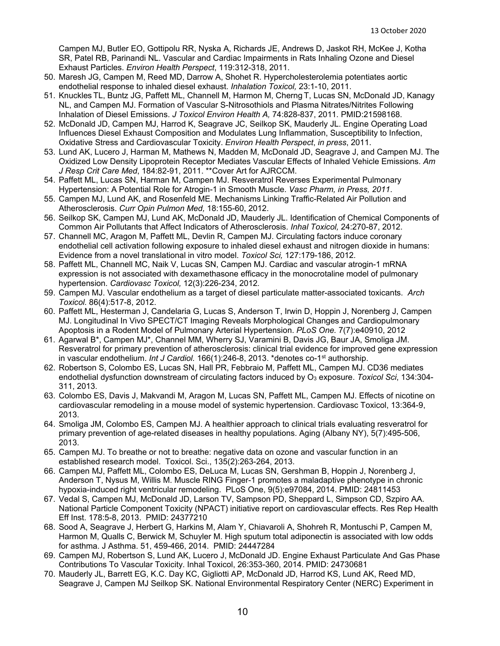Campen MJ, Butler EO, Gottipolu RR, Nyska A, Richards JE, Andrews D, Jaskot RH, McKee J, Kotha SR, Patel RB, Parinandi NL. Vascular and Cardiac Impairments in Rats Inhaling Ozone and Diesel Exhaust Particles. *Environ Health Perspect*, 119:312-318, 2011.

- 50. Maresh JG, Campen M, Reed MD, Darrow A, Shohet R. Hypercholesterolemia potentiates aortic endothelial response to inhaled diesel exhaust. *Inhalation Toxicol,* 23:1-10, 2011.
- 51. Knuckles TL, Buntz JG, Paffett ML, Channell M, Harmon M, Cherng T, Lucas SN, McDonald JD, Kanagy NL, and Campen MJ. Formation of Vascular S-Nitrosothiols and Plasma Nitrates/Nitrites Following Inhalation of Diesel Emissions. *J Toxicol Environ Health A,* 74:828-837, 2011*.* PMID:21598168.
- 52. McDonald JD, Campen MJ, Harrod K, Seagrave JC, Seilkop SK, Mauderly JL. Engine Operating Load Influences Diesel Exhaust Composition and Modulates Lung Inflammation, Susceptibility to Infection, Oxidative Stress and Cardiovascular Toxicity. *Environ Health Perspect*, *in press*, 2011.
- 53. Lund AK, Lucero J, Harman M, Mathews N, Madden M, McDonald JD, Seagrave J, and Campen MJ. The Oxidized Low Density Lipoprotein Receptor Mediates Vascular Effects of Inhaled Vehicle Emissions. *Am J Resp Crit Care Med*, 184:82-91, 2011. \*\*Cover Art for AJRCCM.
- 54. Paffett ML, Lucas SN, Harman M, Campen MJ. Resveratrol Reverses Experimental Pulmonary Hypertension: A Potential Role for Atrogin-1 in Smooth Muscle. *Vasc Pharm, in Press, 2011*.
- 55. Campen MJ, Lund AK, and Rosenfeld ME. Mechanisms Linking Traffic-Related Air Pollution and Atherosclerosis. *Curr Opin Pulmon Med,* 18:155-60, 2012.
- 56. Seilkop SK, Campen MJ, Lund AK, McDonald JD, Mauderly JL. Identification of Chemical Components of Common Air Pollutants that Affect Indicators of Atherosclerosis. *Inhal Toxicol,* 24:270-87, 2012.
- 57. Channell MC, Aragon M, Paffett ML, Devlin R, Campen MJ. Circulating factors induce coronary endothelial cell activation following exposure to inhaled diesel exhaust and nitrogen dioxide in humans: Evidence from a novel translational in vitro model. *Toxicol Sci,* 127:179-186, 2012*.*
- 58. Paffett ML, Channell MC, Naik V, Lucas SN, Campen MJ. Cardiac and vascular atrogin-1 mRNA expression is not associated with dexamethasone efficacy in the monocrotaline model of pulmonary hypertension. *Cardiovasc Toxicol,* 12(3):226-234, 2012*.*
- 59. Campen MJ. Vascular endothelium as a target of diesel particulate matter-associated toxicants. *Arch Toxicol.* 86(4):517-8, 2012.
- 60. Paffett ML, Hesterman J, Candelaria G, Lucas S, Anderson T, Irwin D, Hoppin J, Norenberg J, Campen MJ. Longitudinal In Vivo SPECT/CT Imaging Reveals Morphological Changes and Cardiopulmonary Apoptosis in a Rodent Model of Pulmonary Arterial Hypertension. *PLoS One.* 7(7):e40910, 2012
- 61. Agarwal B\*, Campen MJ\*, Channel MM, Wherry SJ, Varamini B, Davis JG, Baur JA, Smoliga JM. Resveratrol for primary prevention of atherosclerosis: clinical trial evidence for improved gene expression in vascular endothelium. *Int J Cardiol.* 166(1):246-8, 2013. \*denotes co-1<sup>st</sup> authorship.
- 62. Robertson S, Colombo ES, Lucas SN, Hall PR, Febbraio M, Paffett ML, Campen MJ. CD36 mediates endothelial dysfunction downstream of circulating factors induced by O<sub>3</sub> exposure. *Toxicol Sci*, 134:304-311, 2013.
- 63. Colombo ES, Davis J, Makvandi M, Aragon M, Lucas SN, Paffett ML, Campen MJ. Effects of nicotine on cardiovascular remodeling in a mouse model of systemic hypertension. Cardiovasc Toxicol, 13:364-9, 2013.
- 64. Smoliga JM, Colombo ES, Campen MJ. A healthier approach to clinical trials evaluating resveratrol for primary prevention of age-related diseases in healthy populations. Aging (Albany NY), 5(7):495-506, 2013.
- 65. Campen MJ. To breathe or not to breathe: negative data on ozone and vascular function in an established research model. Toxicol. Sci., 135(2):263-264, 2013.
- 66. Campen MJ, Paffett ML, Colombo ES, DeLuca M, Lucas SN, Gershman B, Hoppin J, Norenberg J, Anderson T, Nysus M, Willis M. Muscle RING Finger-1 promotes a maladaptive phenotype in chronic hypoxia-induced right ventricular remodeling. PLoS One, 9(5):e97084, 2014. PMID: 24811453
- 67. Vedal S, Campen MJ, McDonald JD, Larson TV, Sampson PD, Sheppard L, Simpson CD, Szpiro AA. National Particle Component Toxicity (NPACT) initiative report on cardiovascular effects. Res Rep Health Eff Inst. 178:5-8, 2013. PMID: 24377210
- 68. Sood A, Seagrave J, Herbert G, Harkins M, Alam Y, Chiavaroli A, Shohreh R, Montuschi P, Campen M, Harmon M, Qualls C, Berwick M, Schuyler M. High sputum total adiponectin is associated with low odds for asthma. J Asthma. 51, 459-466, 2014. PMID: 24447284
- 69. Campen MJ, Robertson S, Lund AK, Lucero J, McDonald JD. Engine Exhaust Particulate And Gas Phase Contributions To Vascular Toxicity. Inhal Toxicol, 26:353-360, 2014. PMID: 24730681
- 70. Mauderly JL, Barrett EG, K.C. Day KC, Gigliotti AP, McDonald JD, Harrod KS, Lund AK, Reed MD, Seagrave J, Campen MJ Seilkop SK. National Environmental Respiratory Center (NERC) Experiment in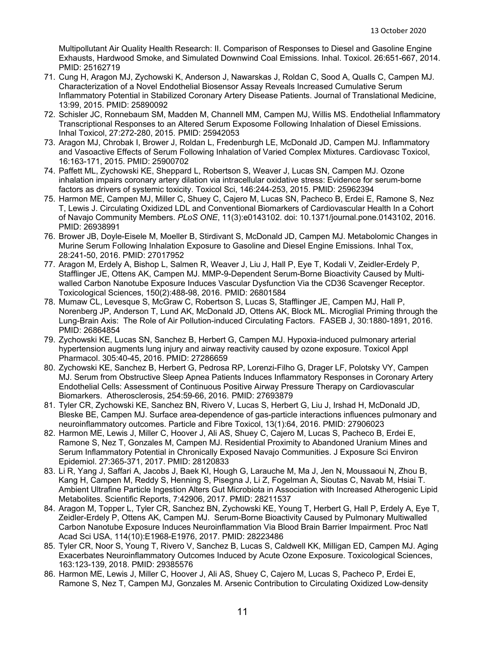Multipollutant Air Quality Health Research: II. Comparison of Responses to Diesel and Gasoline Engine Exhausts, Hardwood Smoke, and Simulated Downwind Coal Emissions. Inhal. Toxicol. 26:651-667, 2014. PMID: 25162719

- 71. Cung H, Aragon MJ, Zychowski K, Anderson J, Nawarskas J, Roldan C, Sood A, Qualls C, Campen MJ. Characterization of a Novel Endothelial Biosensor Assay Reveals Increased Cumulative Serum Inflammatory Potential in Stabilized Coronary Artery Disease Patients. Journal of Translational Medicine, 13:99, 2015. PMID: 25890092
- 72. Schisler JC, Ronnebaum SM, Madden M, Channell MM, Campen MJ, Willis MS. Endothelial Inflammatory Transcriptional Responses to an Altered Serum Exposome Following Inhalation of Diesel Emissions. Inhal Toxicol, 27:272-280, 2015. PMID: 25942053
- 73. Aragon MJ, Chrobak I, Brower J, Roldan L, Fredenburgh LE, McDonald JD, Campen MJ. Inflammatory and Vasoactive Effects of Serum Following Inhalation of Varied Complex Mixtures. Cardiovasc Toxicol, 16:163-171, 2015. PMID: 25900702
- 74. Paffett ML, Zychowski KE, Sheppard L, Robertson S, Weaver J, Lucas SN, Campen MJ. Ozone inhalation impairs coronary artery dilation via intracellular oxidative stress: Evidence for serum-borne factors as drivers of systemic toxicity. Toxicol Sci, 146:244-253, 2015. PMID: 25962394
- 75. Harmon ME, Campen MJ, Miller C, Shuey C, Cajero M, Lucas SN, Pacheco B, Erdei E, Ramone S, Nez T, Lewis J. Circulating Oxidized LDL and Conventional Biomarkers of Cardiovascular Health In a Cohort of Navajo Community Members. *PLoS ONE*, 11(3):e0143102. doi: 10.1371/journal.pone.0143102, 2016. PMID: 26938991
- 76. Brower JB, Doyle-Eisele M, Moeller B, Stirdivant S, McDonald JD, Campen MJ. Metabolomic Changes in Murine Serum Following Inhalation Exposure to Gasoline and Diesel Engine Emissions. Inhal Tox, 28:241-50, 2016. PMID: 27017952
- 77. Aragon M, Erdely A, Bishop L, Salmen R, Weaver J, Liu J, Hall P, Eye T, Kodali V, Zeidler-Erdely P, Stafflinger JE, Ottens AK, Campen MJ. MMP-9-Dependent Serum-Borne Bioactivity Caused by Multiwalled Carbon Nanotube Exposure Induces Vascular Dysfunction Via the CD36 Scavenger Receptor. Toxicological Sciences, 150(2):488-98, 2016. PMID: 26801584
- 78. Mumaw CL, Levesque S, McGraw C, Robertson S, Lucas S, Stafflinger JE, Campen MJ, Hall P, Norenberg JP, Anderson T, Lund AK, McDonald JD, Ottens AK, Block ML. Microglial Priming through the Lung-Brain Axis: The Role of Air Pollution-induced Circulating Factors. FASEB J, 30:1880-1891, 2016. PMID: 26864854
- 79. Zychowski KE, Lucas SN, Sanchez B, Herbert G, Campen MJ. Hypoxia-induced pulmonary arterial hypertension augments lung injury and airway reactivity caused by ozone exposure. Toxicol Appl Pharmacol. 305:40-45, 2016. PMID: 27286659
- 80. Zychowski KE, Sanchez B, Herbert G, Pedrosa RP, Lorenzi-Filho G, Drager LF, Polotsky VY, Campen MJ. Serum from Obstructive Sleep Apnea Patients Induces Inflammatory Responses in Coronary Artery Endothelial Cells: Assessment of Continuous Positive Airway Pressure Therapy on Cardiovascular Biomarkers. Atherosclerosis, 254:59-66, 2016. PMID: 27693879
- 81. Tyler CR, Zychowski KE, Sanchez BN, Rivero V, Lucas S, Herbert G, Liu J, Irshad H, McDonald JD, Bleske BE, Campen MJ. Surface area-dependence of gas-particle interactions influences pulmonary and neuroinflammatory outcomes. Particle and Fibre Toxicol, 13(1):64, 2016. PMID: 27906023
- 82. Harmon ME, Lewis J, Miller C, Hoover J, Ali AS, Shuey C, Cajero M, Lucas S, Pacheco B, Erdei E, Ramone S, Nez T, Gonzales M, Campen MJ. Residential Proximity to Abandoned Uranium Mines and Serum Inflammatory Potential in Chronically Exposed Navajo Communities. J Exposure Sci Environ Epidemiol. 27:365-371, 2017. PMID: 28120833
- 83. Li R, Yang J, Saffari A, Jacobs J, Baek KI, Hough G, Larauche M, Ma J, Jen N, Moussaoui N, Zhou B, Kang H, Campen M, Reddy S, Henning S, Pisegna J, Li Z, Fogelman A, Sioutas C, Navab M, Hsiai T. Ambient Ultrafine Particle Ingestion Alters Gut Microbiota in Association with Increased Atherogenic Lipid Metabolites. Scientific Reports, 7:42906, 2017. PMID: 28211537
- 84. Aragon M, Topper L, Tyler CR, Sanchez BN, Zychowski KE, Young T, Herbert G, Hall P, Erdely A, Eye T, Zeidler-Erdely P, Ottens AK, Campen MJ. Serum-Borne Bioactivity Caused by Pulmonary Multiwalled Carbon Nanotube Exposure Induces Neuroinflammation Via Blood Brain Barrier Impairment. Proc Natl Acad Sci USA, 114(10):E1968-E1976, 2017. PMID: 28223486
- 85. Tyler CR, Noor S, Young T, Rivero V, Sanchez B, Lucas S, Caldwell KK, Milligan ED, Campen MJ. Aging Exacerbates Neuroinflammatory Outcomes Induced by Acute Ozone Exposure. Toxicological Sciences, 163:123-139, 2018. PMID: 29385576
- 86. Harmon ME, Lewis J, Miller C, Hoover J, Ali AS, Shuey C, Cajero M, Lucas S, Pacheco P, Erdei E, Ramone S, Nez T, Campen MJ, Gonzales M. Arsenic Contribution to Circulating Oxidized Low-density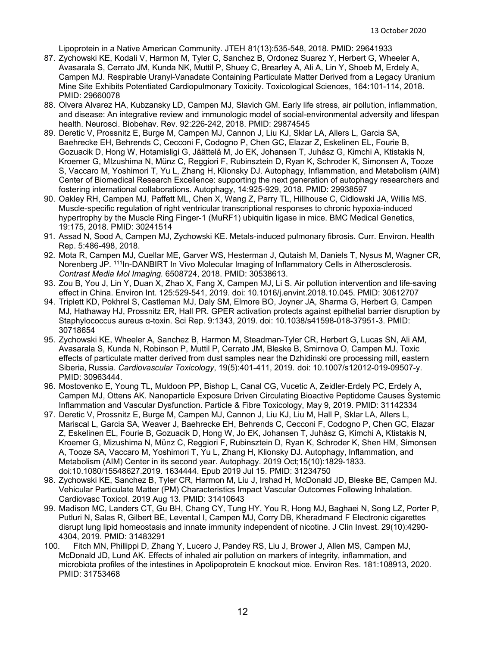Lipoprotein in a Native American Community. JTEH 81(13):535-548, 2018. PMID: 29641933

- 87. Zychowski KE, Kodali V, Harmon M, Tyler C, Sanchez B, Ordonez Suarez Y, Herbert G, Wheeler A, Avasarala S, Cerrato JM, Kunda NK, Muttil P, Shuey C, Brearley A, Ali A, Lin Y, Shoeb M, Erdely A, Campen MJ. Respirable Uranyl-Vanadate Containing Particulate Matter Derived from a Legacy Uranium Mine Site Exhibits Potentiated Cardiopulmonary Toxicity. Toxicological Sciences, 164:101-114, 2018. PMID: 29660078
- 88. Olvera Alvarez HA, Kubzansky LD, Campen MJ, Slavich GM. Early life stress, air pollution, inflammation, and disease: An integrative review and immunologic model of social-environmental adversity and lifespan health. Neurosci. Biobehav. Rev. 92:226-242, 2018. PMID: 29874545
- 89. Deretic V, Prossnitz E, Burge M, Campen MJ, Cannon J, Liu KJ, Sklar LA, Allers L, Garcia SA, Baehrecke EH, Behrends C, Cecconi F, Codogno P, Chen GC, Elazar Z, Eskelinen EL, Fourie B, Gozuacik D, Hong W, Hotamisligi G, Jäättelä M, Jo EK, Johansen T, Juhász G, Kimchi A, Ktistakis N, Kroemer G, MIzushima N, Münz C, Reggiori F, Rubinsztein D, Ryan K, Schroder K, Simonsen A, Tooze S, Vaccaro M, Yoshimori T, Yu L, Zhang H, Klionsky DJ. Autophagy, Inflammation, and Metabolism (AIM) Center of Biomedical Research Excellence: supporting the next generation of autophagy researchers and fostering international collaborations. Autophagy, 14:925-929, 2018. PMID: 29938597
- 90. Oakley RH, Campen MJ, Paffett ML, Chen X, Wang Z, Parry TL, Hillhouse C, Cidlowski JA, Willis MS. Muscle-specific regulation of right ventricular transcriptional responses to chronic hypoxia-induced hypertrophy by the Muscle Ring Finger-1 (MuRF1) ubiquitin ligase in mice. BMC Medical Genetics, 19:175, 2018. PMID: 30241514
- 91. Assad N, Sood A, Campen MJ, Zychowski KE. Metals-induced pulmonary fibrosis. Curr. Environ. Health Rep. 5:486-498, 2018.
- 92. Mota R, Campen MJ, Cuellar ME, Garver WS, Hesterman J, Qutaish M, Daniels T, Nysus M, Wagner CR, Norenberg JP. 111In-DANBIRT In Vivo Molecular Imaging of Inflammatory Cells in Atherosclerosis. *Contrast Media Mol Imaging.* 6508724, 2018. PMID: 30538613.
- 93. Zou B, You J, Lin Y, Duan X, Zhao X, Fang X, Campen MJ, Li S. Air pollution intervention and life-saving effect in China. Environ Int. 125:529-541, 2019. doi: 10.1016/j.envint.2018.10.045. PMID: 30612707
- 94. Triplett KD, Pokhrel S, Castleman MJ, Daly SM, Elmore BO, Joyner JA, Sharma G, Herbert G, Campen MJ, Hathaway HJ, Prossnitz ER, Hall PR. GPER activation protects against epithelial barrier disruption by Staphylococcus aureus α-toxin. Sci Rep. 9:1343, 2019. doi: 10.1038/s41598-018-37951-3. PMID: 30718654
- 95. Zychowski KE, Wheeler A, Sanchez B, Harmon M, Steadman-Tyler CR, Herbert G, Lucas SN, Ali AM, Avasarala S, Kunda N, Robinson P, Muttil P, Cerrato JM, Bleske B, Smirnova O, Campen MJ. Toxic effects of particulate matter derived from dust samples near the Dzhidinski ore processing mill, eastern Siberia, Russia. *Cardiovascular Toxicology*, 19(5):401-411, 2019. doi: 10.1007/s12012-019-09507-y. PMID: 30963444.
- 96. Mostovenko E, Young TL, Muldoon PP, Bishop L, Canal CG, Vucetic A, Zeidler-Erdely PC, Erdely A, Campen MJ, Ottens AK. Nanoparticle Exposure Driven Circulating Bioactive Peptidome Causes Systemic Inflammation and Vascular Dysfunction. Particle & Fibre Toxicology, May 9, 2019. PMID: 31142334
- 97. Deretic V, Prossnitz E, Burge M, Campen MJ, Cannon J, Liu KJ, Liu M, Hall P, Sklar LA, Allers L, Mariscal L, Garcia SA, Weaver J, Baehrecke EH, Behrends C, Cecconi F, Codogno P, Chen GC, Elazar Z, Eskelinen EL, Fourie B, Gozuacik D, Hong W, Jo EK, Johansen T, Juhász G, Kimchi A, Ktistakis N, Kroemer G, Mizushima N, Münz C, Reggiori F, Rubinsztein D, Ryan K, Schroder K, Shen HM, Simonsen A, Tooze SA, Vaccaro M, Yoshimori T, Yu L, Zhang H, Klionsky DJ. Autophagy, Inflammation, and Metabolism (AIM) Center in its second year. Autophagy. 2019 Oct;15(10):1829-1833. doi:10.1080/15548627.2019. 1634444. Epub 2019 Jul 15. PMID: 31234750
- 98. Zychowski KE, Sanchez B, Tyler CR, Harmon M, Liu J, Irshad H, McDonald JD, Bleske BE, Campen MJ. Vehicular Particulate Matter (PM) Characteristics Impact Vascular Outcomes Following Inhalation. Cardiovasc Toxicol. 2019 Aug 13. PMID: 31410643
- 99. Madison MC, Landers CT, Gu BH, Chang CY, Tung HY, You R, Hong MJ, Baghaei N, Song LZ, Porter P, Putluri N, Salas R, Gilbert BE, Levental I, Campen MJ, Corry DB, Kheradmand F Electronic cigarettes disrupt lung lipid homeostasis and innate immunity independent of nicotine. J Clin Invest. 29(10):4290- 4304, 2019. PMID: 31483291
- 100. Fitch MN, Phillippi D, Zhang Y, Lucero J, Pandey RS, Liu J, Brower J, Allen MS, Campen MJ, McDonald JD, Lund AK. Effects of inhaled air pollution on markers of integrity, inflammation, and microbiota profiles of the intestines in Apolipoprotein E knockout mice. Environ Res. 181:108913, 2020. PMID: 31753468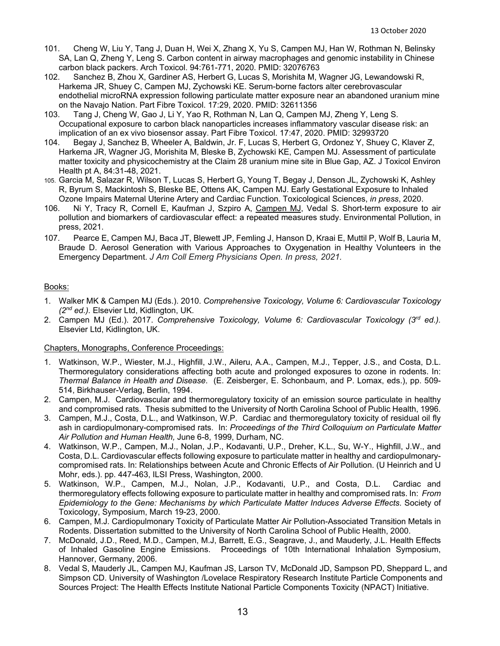- 101. Cheng W, Liu Y, Tang J, Duan H, Wei X, Zhang X, Yu S, Campen MJ, Han W, Rothman N, Belinsky SA, Lan Q, Zheng Y, Leng S. Carbon content in airway macrophages and genomic instability in Chinese carbon black packers. Arch Toxicol. 94:761-771, 2020. PMID: 32076763
- 102. Sanchez B, Zhou X, Gardiner AS, Herbert G, Lucas S, Morishita M, Wagner JG, Lewandowski R, Harkema JR, Shuey C, Campen MJ, Zychowski KE. Serum-borne factors alter cerebrovascular endothelial microRNA expression following particulate matter exposure near an abandoned uranium mine on the Navajo Nation. Part Fibre Toxicol. 17:29, 2020. PMID: 32611356
- 103. Tang J, Cheng W, Gao J, Li Y, Yao R, Rothman N, Lan Q, Campen MJ, Zheng Y, Leng S. Occupational exposure to carbon black nanoparticles increases inflammatory vascular disease risk: an implication of an ex vivo biosensor assay. Part Fibre Toxicol. 17:47, 2020. PMID: 32993720
- 104. Begay J, Sanchez B, Wheeler A, Baldwin, Jr. F, Lucas S, Herbert G, Ordonez Y, Shuey C, Klaver Z, Harkema JR, Wagner JG, Morishita M, Bleske B, Zychowski KE, Campen MJ. Assessment of particulate matter toxicity and physicochemistry at the Claim 28 uranium mine site in Blue Gap, AZ. J Toxicol Environ Health pt A, 84:31-48, 2021.
- 105. Garcia M, Salazar R, Wilson T, Lucas S, Herbert G, Young T, Begay J, Denson JL, Zychowski K, Ashley R, Byrum S, Mackintosh S, Bleske BE, Ottens AK, Campen MJ. Early Gestational Exposure to Inhaled Ozone Impairs Maternal Uterine Artery and Cardiac Function. Toxicological Sciences, *in press*, 2020.
- 106. Ni Y, Tracy R, Cornell E, Kaufman J, Szpiro A, Campen MJ, Vedal S. Short-term exposure to air pollution and biomarkers of cardiovascular effect: a repeated measures study. Environmental Pollution, in press, 2021.
- 107. Pearce E, Campen MJ, Baca JT, Blewett JP, Femling J, Hanson D, Kraai E, Muttil P, Wolf B, Lauria M, Braude D. Aerosol Generation with Various Approaches to Oxygenation in Healthy Volunteers in the Emergency Department. *J Am Coll Emerg Physicians Open. In press, 2021.*

#### Books:

- 1. Walker MK & Campen MJ (Eds.). 2010. *Comprehensive Toxicology, Volume 6: Cardiovascular Toxicology (2nd ed.).* Elsevier Ltd, Kidlington, UK.
- 2. Campen MJ (Ed.). 2017. *Comprehensive Toxicology, Volume 6: Cardiovascular Toxicology (3rd ed.).* Elsevier Ltd, Kidlington, UK.

#### Chapters, Monographs, Conference Proceedings:

- 1. Watkinson, W.P., Wiester, M.J., Highfill, J.W., Aileru, A.A., Campen, M.J., Tepper, J.S., and Costa, D.L. Thermoregulatory considerations affecting both acute and prolonged exposures to ozone in rodents. In: *Thermal Balance in Health and Disease*. (E. Zeisberger, E. Schonbaum, and P. Lomax, eds.), pp. 509- 514, Birkhauser-Verlag, Berlin, 1994.
- 2. Campen, M.J. Cardiovascular and thermoregulatory toxicity of an emission source particulate in healthy and compromised rats. Thesis submitted to the University of North Carolina School of Public Health, 1996.
- 3. Campen, M.J., Costa, D.L., and Watkinson, W.P. Cardiac and thermoregulatory toxicity of residual oil fly ash in cardiopulmonary-compromised rats. In: *Proceedings of the Third Colloquium on Particulate Matter Air Pollution and Human Health,* June 6-8, 1999, Durham, NC.
- 4. Watkinson, W.P., Campen, M.J., Nolan, J.P., Kodavanti, U.P., Dreher, K.L., Su, W-Y., Highfill, J.W., and Costa, D.L. Cardiovascular effects following exposure to particulate matter in healthy and cardiopulmonarycompromised rats. In: Relationships between Acute and Chronic Effects of Air Pollution. (U Heinrich and U Mohr, eds.). pp. 447-463, ILSI Press, Washington, 2000.
- 5. Watkinson, W.P., Campen, M.J., Nolan, J.P., Kodavanti, U.P., and Costa, D.L. Cardiac and thermoregulatory effects following exposure to particulate matter in healthy and compromised rats. In: *From Epidemiology to the Gene: Mechanisms by which Particulate Matter Induces Adverse Effects*. Society of Toxicology, Symposium, March 19-23, 2000.
- 6. Campen, M.J. Cardiopulmonary Toxicity of Particulate Matter Air Pollution-Associated Transition Metals in Rodents. Dissertation submitted to the University of North Carolina School of Public Health, 2000.
- 7. McDonald, J.D., Reed, M.D., Campen, M.J, Barrett, E.G., Seagrave, J., and Mauderly, J.L. Health Effects of Inhaled Gasoline Engine Emissions. Proceedings of 10th International Inhalation Symposium, Hannover, Germany, 2006.
- 8. Vedal S, Mauderly JL, Campen MJ, Kaufman JS, Larson TV, McDonald JD, Sampson PD, Sheppard L, and Simpson CD. University of Washington /Lovelace Respiratory Research Institute Particle Components and Sources Project: The Health Effects Institute National Particle Components Toxicity (NPACT) Initiative.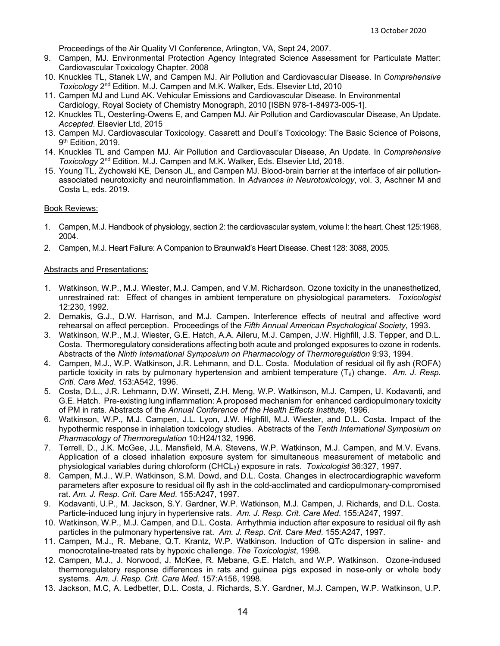Proceedings of the Air Quality VI Conference, Arlington, VA, Sept 24, 2007.

- 9. Campen, MJ. Environmental Protection Agency Integrated Science Assessment for Particulate Matter: Cardiovascular Toxicology Chapter. 2008
- 10. Knuckles TL, Stanek LW, and Campen MJ. Air Pollution and Cardiovascular Disease. In *Comprehensive Toxicology* 2nd Edition. M.J. Campen and M.K. Walker, Eds. Elsevier Ltd, 2010
- 11. Campen MJ and Lund AK. Vehicular Emissions and Cardiovascular Disease. In Environmental Cardiology, Royal Society of Chemistry Monograph, 2010 [ISBN 978-1-84973-005-1].
- 12. Knuckles TL, Oesterling-Owens E, and Campen MJ. Air Pollution and Cardiovascular Disease, An Update. *Accepted*. Elsevier Ltd, 2015
- 13. Campen MJ. Cardiovascular Toxicology. Casarett and Doull's Toxicology: The Basic Science of Poisons, 9<sup>th</sup> Edition, 2019.
- 14. Knuckles TL and Campen MJ. Air Pollution and Cardiovascular Disease, An Update. In *Comprehensive Toxicology* 2nd Edition. M.J. Campen and M.K. Walker, Eds. Elsevier Ltd, 2018.
- 15. Young TL, Zychowski KE, Denson JL, and Campen MJ. Blood-brain barrier at the interface of air pollutionassociated neurotoxicity and neuroinflammation. In *Advances in Neurotoxicology*, vol. 3, Aschner M and Costa L, eds. 2019.

#### Book Reviews:

- 1. Campen, M.J. Handbook of physiology, section 2: the cardiovascular system, volume I: the heart. Chest 125:1968, 2004.
- 2. Campen, M.J. Heart Failure: A Companion to Braunwald's Heart Disease. Chest 128: 3088, 2005.

#### Abstracts and Presentations:

- 1. Watkinson, W.P., M.J. Wiester, M.J. Campen, and V.M. Richardson. Ozone toxicity in the unanesthetized, unrestrained rat: Effect of changes in ambient temperature on physiological parameters. *Toxicologist* 12:230, 1992.
- 2. Demakis, G.J., D.W. Harrison, and M.J. Campen. Interference effects of neutral and affective word rehearsal on affect perception. Proceedings of the *Fifth Annual American Psychological Society*, 1993.
- 3. Watkinson, W.P., M.J. Wiester, G.E. Hatch, A.A. Aileru, M.J. Campen, J.W. Highfill, J.S. Tepper, and D.L. Costa. Thermoregulatory considerations affecting both acute and prolonged exposures to ozone in rodents. Abstracts of the *Ninth International Symposium on Pharmacology of Thermoregulation* 9:93, 1994.
- 4. Campen, M.J., W.P. Watkinson, J.R. Lehmann, and D.L. Costa. Modulation of residual oil fly ash (ROFA) particle toxicity in rats by pulmonary hypertension and ambient temperature (Ta) change. *Am. J. Resp. Criti. Care Med*. 153:A542, 1996.
- 5. Costa, D.L., J.R. Lehmann, D.W. Winsett, Z.H. Meng, W.P. Watkinson, M.J. Campen, U. Kodavanti, and G.E. Hatch. Pre-existing lung inflammation: A proposed mechanism for enhanced cardiopulmonary toxicity of PM in rats. Abstracts of the *Annual Conference of the Health Effects Institute,* 1996.
- 6. Watkinson, W.P., M.J. Campen, J.L. Lyon, J.W. Highfill, M.J. Wiester, and D.L. Costa. Impact of the hypothermic response in inhalation toxicology studies. Abstracts of the *Tenth International Symposium on Pharmacology of Thermoregulation* 10:H24/132, 1996.
- 7. Terrell, D., J.K. McGee, J.L. Mansfield, M.A. Stevens, W.P. Watkinson, M.J. Campen, and M.V. Evans. Application of a closed inhalation exposure system for simultaneous measurement of metabolic and physiological variables during chloroform (CHCL3) exposure in rats. *Toxicologist* 36:327, 1997.
- 8. Campen, M.J., W.P. Watkinson, S.M. Dowd, and D.L. Costa. Changes in electrocardiographic waveform parameters after exposure to residual oil fly ash in the cold-acclimated and cardiopulmonary-compromised rat. *Am. J. Resp. Crit. Care Med*. 155:A247, 1997.
- 9. Kodavanti, U.P., M. Jackson, S.Y. Gardner, W.P. Watkinson, M.J. Campen, J. Richards, and D.L. Costa. Particle-induced lung injury in hypertensive rats. *Am. J. Resp. Crit. Care Med*. 155:A247, 1997.
- 10. Watkinson, W.P., M.J. Campen, and D.L. Costa. Arrhythmia induction after exposure to residual oil fly ash particles in the pulmonary hypertensive rat. *Am. J. Resp. Crit. Care Med*. 155:A247, 1997.
- 11. Campen, M.J., R. Mebane, Q.T. Krantz, W.P. Watkinson. Induction of QTc dispersion in saline- and monocrotaline-treated rats by hypoxic challenge. *The Toxicologist*, 1998.
- 12. Campen, M.J., J. Norwood, J. McKee, R. Mebane, G.E. Hatch, and W.P. Watkinson. Ozone-indused thermoregulatory response differences in rats and guinea pigs exposed in nose-only or whole body systems. *Am. J. Resp. Crit. Care Med*. 157:A156, 1998.
- 13. Jackson, M.C, A. Ledbetter, D.L. Costa, J. Richards, S.Y. Gardner, M.J. Campen, W.P. Watkinson, U.P.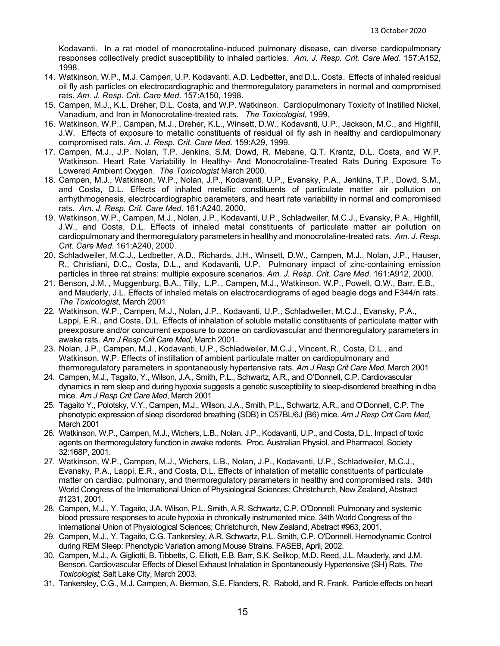Kodavanti. In a rat model of monocrotaline-induced pulmonary disease, can diverse cardiopulmonary responses collectively predict susceptibility to inhaled particles. *Am. J. Resp. Crit. Care Med*. 157:A152, 1998.

- 14. Watkinson, W.P., M.J. Campen, U.P. Kodavanti, A.D. Ledbetter, and D.L. Costa. Effects of inhaled residual oil fly ash particles on electrocardiographic and thermoregulatory parameters in normal and compromised rats. *Am. J. Resp. Crit. Care Med*. 157:A150, 1998.
- 15. Campen, M.J., K.L. Dreher, D.L. Costa, and W.P. Watkinson. Cardiopulmonary Toxicity of Instilled Nickel, Vanadium, and Iron in Monocrotaline-treated rats. *The Toxicologist,* 1999.
- 16. Watkinson, W.P., Campen, M.J., Dreher, K.L., Winsett, D.W., Kodavanti, U.P., Jackson, M.C., and Highfill, J.W. Effects of exposure to metallic constituents of residual oil fly ash in healthy and cardiopulmonary compromised rats. *Am. J. Resp. Crit. Care Med*. 159:A29, 1999.
- 17. Campen, M.J., J.P. Nolan, T.P. Jenkins, S.M. Dowd, R. Mebane, Q.T. Krantz, D.L. Costa, and W.P. Watkinson. Heart Rate Variability In Healthy- And Monocrotaline-Treated Rats During Exposure To Lowered Ambient Oxygen. *The Toxicologist* March 2000.
- 18. Campen, M.J., Watkinson, W.P., Nolan, J.P., Kodavanti, U.P., Evansky, P.A., Jenkins, T.P., Dowd, S.M., and Costa, D.L. Effects of inhaled metallic constituents of particulate matter air pollution on arrhythmogenesis, electrocardiographic parameters, and heart rate variability in normal and compromised rats. *Am. J. Resp. Crit. Care Med*. 161:A240, 2000.
- 19. Watkinson, W.P., Campen, M.J., Nolan, J.P., Kodavanti, U.P., Schladweiler, M.C.J., Evansky, P.A., Highfill, J.W., and Costa, D.L. Effects of inhaled metal constituents of particulate matter air pollution on cardiopulmonary and thermoregulatory parameters in healthy and monocrotaline-treated rats. *Am. J. Resp. Crit. Care Med*. 161:A240, 2000.
- 20. Schladweiler, M.C.J., Ledbetter, A.D., Richards, J.H., Winsett, D.W., Campen, M.J., Nolan, J.P., Hauser, R., Christiani, D.C., Costa, D.L., and Kodavanti, U.P. Pulmonary impact of zinc-containing emission particles in three rat strains: multiple exposure scenarios. *Am. J. Resp. Crit. Care Med*. 161:A912, 2000.
- 21. Benson, J.M. , Muggenburg, B.A., Tilly, L.P. , Campen, M.J., Watkinson, W.P., Powell, Q.W., Barr, E.B., and Mauderly, J.L. Effects of inhaled metals on electrocardiograms of aged beagle dogs and F344/n rats. *The Toxicologist*, March 2001
- 22. Watkinson, W.P., Campen, M.J., Nolan, J.P., Kodavanti, U.P., Schladweiler, M.C.J., Evansky, P.A., Lappi, E.R., and Costa, D.L. Effects of inhalation of soluble metallic constituents of particulate matter with preexposure and/or concurrent exposure to ozone on cardiovascular and thermoregulatory parameters in awake rats. *Am J Resp Crit Care Med*, March 2001.
- 23. Nolan, J.P., Campen, M.J., Kodavanti, U.P., Schladweiler, M.C.J., Vincent, R., Costa, D.L., and Watkinson, W.P. Effects of instillation of ambient particulate matter on cardiopulmonary and thermoregulatory parameters in spontaneously hypertensive rats. *Am J Resp Crit Care Med*, March 2001
- 24. Campen, M.J., Tagaito, Y., Wilson, J.A., Smith, P.L., Schwartz, A.R., and O'Donnell, C.P. Cardiovascular dynamics in rem sleep and during hypoxia suggests a genetic susceptibility to sleep-disordered breathing in dba mice. *Am J Resp Crit Care Med*, March 2001
- 25. Tagaito Y., Polotsky, V.Y., Campen, M.J., Wilson, J.A., Smith, P.L., Schwartz, A.R., and O'Donnell, C.P. The phenotypic expression of sleep disordered breathing (SDB) in C57BL/6J (B6) mice. *Am J Resp Crit Care Med*, March 2001
- 26. Watkinson, W.P., Campen, M.J., Wichers, L.B., Nolan, J.P., Kodavanti, U.P., and Costa, D.L. Impact of toxic agents on thermoregulatory function in awake rodents. Proc. Australian Physiol. and Pharmacol. Society 32:168P, 2001.
- 27. Watkinson, W.P., Campen, M.J., Wichers, L.B., Nolan, J.P., Kodavanti, U.P., Schladweiler, M.C.J., Evansky, P.A., Lappi, E.R., and Costa, D.L. Effects of inhalation of metallic constituents of particulate matter on cardiac, pulmonary, and thermoregulatory parameters in healthy and compromised rats. 34th World Congress of the International Union of Physiological Sciences; Christchurch, New Zealand, Abstract #1231, 2001.
- 28. Campen, M.J., Y. Tagaito, J.A. Wilson, P.L. Smith, A.R. Schwartz, C.P. O'Donnell. Pulmonary and systemic blood pressure responses to acute hypoxia in chronically instrumented mice. 34th World Congress of the International Union of Physiological Sciences; Christchurch, New Zealand, Abstract #963, 2001.
- 29. Campen, M.J., Y. Tagaito, C.G. Tankersley, A.R. Schwartz, P.L. Smith, C.P. O'Donnell. Hemodynamic Control during REM Sleep: Phenotypic Variation among Mouse Strains. FASEB, April, 2002.
- 30. Campen, M.J., A. Gigliotti, B. Tibbetts, C. Elliott, E.B. Barr, S.K. Seilkop, M.D. Reed, J.L. Mauderly, and J.M. Benson. Cardiovascular Effects of Diesel Exhaust Inhalation in Spontaneously Hypertensive (SH) Rats. *The Toxicologist,* Salt Lake City, March 2003.
- 31. Tankersley, C.G., M.J. Campen, A. Bierman, S.E. Flanders, R. Rabold, and R. Frank. Particle effects on heart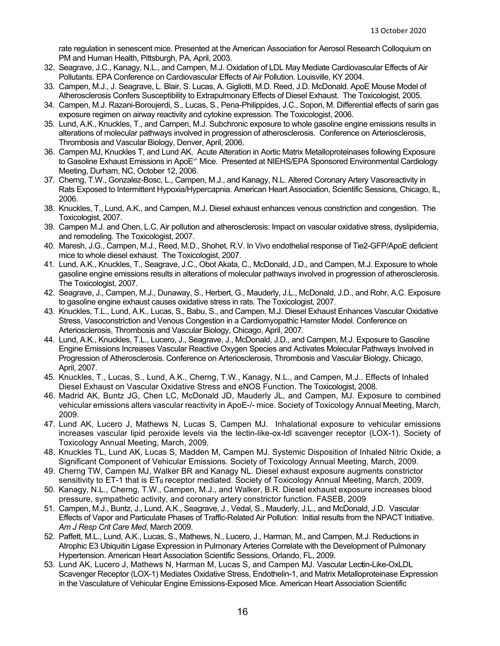rate regulation in senescent mice. Presented at the American Association for Aerosol Research Colloquium on PM and Human Health, Pittsburgh, PA, April, 2003.

- 32. Seagrave, J.C., Kanagy, N.L., and Campen, M.J. Oxidation of LDL May Mediate Cardiovascular Effects of Air Pollutants. EPA Conference on Cardiovascular Effects of Air Pollution. Louisville, KY 2004.
- 33. Campen, M.J., J. Seagrave, L. Blair, S. Lucas, A. Gigliotti, M.D. Reed, J.D. McDonald. ApoE Mouse Model of Atherosclerosis Confers Susceptibility to Extrapulmonary Effects of Diesel Exhaust. The Toxicologist, 2005.
- 34. Campen, M.J. Razani-Boroujerdi, S., Lucas, S., Pena-Philippides, J.C., Sopori, M. Differential effects of sarin gas exposure regimen on airway reactivity and cytokine expression. The Toxicologist, 2006.
- 35. Lund, A.K., Knuckles, T., and Campen, M.J. Subchronic exposure to whole gasoline engine emissions results in alterations of molecular pathways involved in progression of atherosclerosis. Conference on Arteriosclerosis, Thrombosis and Vascular Biology, Denver, April, 2006.
- 36. Campen MJ, Knuckles T, and Lund AK. Acute Alteration in Aortic Matrix Metalloproteinases following Exposure to Gasoline Exhaust Emissions in ApoE<sup>-/-</sup> Mice. Presented at NIEHS/EPA Sponsored Environmental Cardiology Meeting, Durham, NC, October 12, 2006.
- 37. Cherng, T.W., Gonzalez-Bosc, L., Campen, M.J., and Kanagy, N.L. Altered Coronary Artery Vasoreactivity in Rats Exposed to Intermittent Hypoxia/Hypercapnia. American Heart Association, Scientific Sessions, Chicago, IL, 2006.
- 38. Knuckles, T., Lund, A.K., and Campen, M.J. Diesel exhaust enhances venous constriction and congestion. The Toxicologist, 2007.
- 39. Campen M.J. and Chen, L.C. Air pollution and atherosclerosis: Impact on vascular oxidative stress, dyslipidemia, and remodeling. The Toxicologist, 2007.
- 40. Maresh, J.G., Campen, M.J., Reed, M.D., Shohet, R.V. In Vivo endothelial response of Tie2-GFP/ApoE deficient mice to whole diesel exhaust. The Toxicologist, 2007.
- 41. Lund, A.K., Knuckles, T., Seagrave, J.C., Obot Akata, C., McDonald, J.D., and Campen, M.J. Exposure to whole gasoline engine emissions results in alterations of molecular pathways involved in progression of atherosclerosis. The Toxicologist, 2007.
- 42. Seagrave, J., Campen, M.J., Dunaway, S., Herbert, G., Mauderly, J.L., McDonald, J.D., and Rohr, A.C. Exposure to gasoline engine exhaust causes oxidative stress in rats. The Toxicologist, 2007.
- 43. Knuckles, T.L., Lund, A.K., Lucas, S., Babu, S., and Campen, M.J. Diesel Exhaust Enhances Vascular Oxidative Stress, Vasoconstriction and Venous Congestion in a Cardiomyopathic Hamster Model. Conference on Arteriosclerosis, Thrombosis and Vascular Biology, Chicago, April, 2007.
- 44. Lund, A.K., Knuckles, T.L., Lucero, J., Seagrave, J., McDonald, J.D., and Campen, M.J. Exposure to Gasoline Engine Emissions Increases Vascular Reactive Oxygen Species and Activates Molecular Pathways Involved in Progression of Atherosclerosis. Conference on Arteriosclerosis, Thrombosis and Vascular Biology, Chicago, April, 2007.
- 45. Knuckles, T., Lucas, S., Lund, A.K., Cherng, T.W., Kanagy, N.L., and Campen, M.J.. Effects of Inhaled Diesel Exhaust on Vascular Oxidative Stress and eNOS Function. The Toxicologist, 2008.
- 46. Madrid AK, Buntz JG, Chen LC, McDonald JD, Mauderly JL, and Campen, MJ. Exposure to combined vehicular emissions alters vascular reactivity in ApoE-/- mice. Society of Toxicology Annual Meeting, March, 2009.
- 47. Lund AK, Lucero J, Mathews N, Lucas S, Campen MJ. Inhalational exposure to vehicular emissions increases vascular lipid peroxide levels via the lectin-like-ox-ldl scavenger receptor (LOX-1). Society of Toxicology Annual Meeting, March, 2009.
- 48. Knuckles TL, Lund AK, Lucas S, Madden M, Campen MJ. Systemic Disposition of Inhaled Nitric Oxide, a Significant Component of Vehicular Emissions. Society of Toxicology Annual Meeting, March, 2009.
- 49. Cherng TW, Campen MJ, Walker BR and Kanagy NL. Diesel exhaust exposure augments constrictor sensitivity to ET-1 that is ET<sub>B</sub> receptor mediated. Society of Toxicology Annual Meeting, March, 2009.
- 50. Kanagy, N.L., Cherng, T.W., Campen, M.J., and Walker, B.R. Diesel exhaust exposure increases blood pressure, sympathetic activity, and coronary artery constrictor function. FASEB, 2009
- 51. Campen, M.J., Buntz, J., Lund, A.K., Seagrave, J., Vedal, S., Mauderly, J.L., and McDonald, J.D. Vascular Effects of Vapor and Particulate Phases of Traffic-Related Air Pollution: Initial results from the NPACT Initiative. *Am J Resp Crit Care Med*, March 2009.
- 52. Paffett, M.L., Lund, A.K., Lucas, S., Mathews, N., Lucero, J., Harman, M., and Campen, M.J. Reductions in Atrophic E3 Ubiquitin Ligase Expression in Pulmonary Arteries Correlate with the Development of Pulmonary Hypertension. American Heart Association Scientific Sessions, Orlando, FL, 2009.
- 53. Lund AK, Lucero J, Mathews N, Harman M, Lucas S, and Campen MJ. Vascular Lec**t**in-Like-OxLDL Scavenger Receptor (LOX-1) Mediates Oxidative Stress, Endothelin-1, and Matrix Metalloproteinase Expression in the Vasculature of Vehicular Engine Emissions-Exposed Mice. American Heart Association Scientific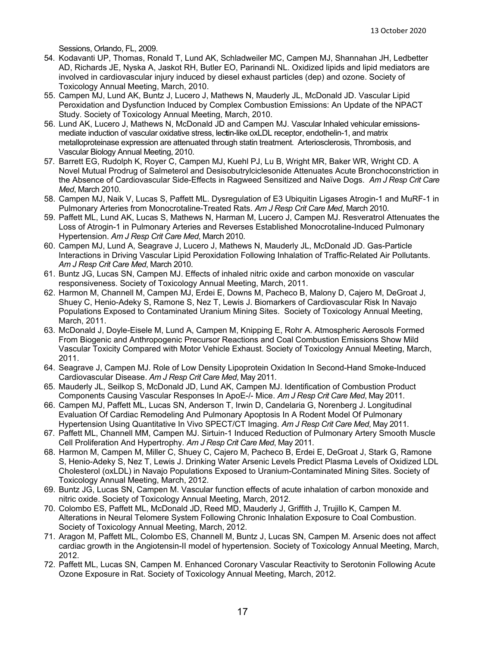Sessions, Orlando, FL, 2009.

- 54. Kodavanti UP, Thomas, Ronald T, Lund AK, Schladweiler MC, Campen MJ, Shannahan JH, Ledbetter AD, Richards JE, Nyska A, Jaskot RH, Butler EO, Parinandi NL. Oxidized lipids and lipid mediators are involved in cardiovascular injury induced by diesel exhaust particles (dep) and ozone. Society of Toxicology Annual Meeting, March, 2010.
- 55. Campen MJ, Lund AK, Buntz J, Lucero J, Mathews N, Mauderly JL, McDonald JD. Vascular Lipid Peroxidation and Dysfunction Induced by Complex Combustion Emissions: An Update of the NPACT Study. Society of Toxicology Annual Meeting, March, 2010.
- 56. Lund AK, Lucero J, Mathews N, McDonald JD and Campen MJ. Vascular Inhaled vehicular emissionsmediate induction of vascular oxidative stress, lec**t**in-like oxLDL receptor, endothelin-1, and matrix metalloproteinase expression are attenuated through statin treatment. Arteriosclerosis, Thrombosis, and Vascular Biology Annual Meeting, 2010.
- 57. Barrett EG, Rudolph K, Royer C, Campen MJ, Kuehl PJ, Lu B, Wright MR, Baker WR, Wright CD. A Novel Mutual Prodrug of Salmeterol and Desisobutrylciclesonide Attenuates Acute Bronchoconstriction in the Absence of Cardiovascular Side-Effects in Ragweed Sensitized and Naïve Dogs. *Am J Resp Crit Care Med*, March 2010.
- 58. Campen MJ, Naik V, Lucas S, Paffett ML. Dysregulation of E3 Ubiquitin Ligases Atrogin-1 and MuRF-1 in Pulmonary Arteries from Monocrotaline-Treated Rats. *Am J Resp Crit Care Med*, March 2010.
- 59. Paffett ML, Lund AK, Lucas S, Mathews N, Harman M, Lucero J, Campen MJ. Resveratrol Attenuates the Loss of Atrogin-1 in Pulmonary Arteries and Reverses Established Monocrotaline-Induced Pulmonary Hypertension. *Am J Resp Crit Care Med*, March 2010.
- 60. Campen MJ, Lund A, Seagrave J, Lucero J, Mathews N, Mauderly JL, McDonald JD. Gas-Particle Interactions in Driving Vascular Lipid Peroxidation Following Inhalation of Traffic-Related Air Pollutants. *Am J Resp Crit Care Med*, March 2010.
- 61. Buntz JG, Lucas SN, Campen MJ. Effects of inhaled nitric oxide and carbon monoxide on vascular responsiveness. Society of Toxicology Annual Meeting, March, 2011.
- 62. Harmon M, Channell M, Campen MJ, Erdei E, Downs M, Pacheco B, Malony D, Cajero M, DeGroat J, Shuey C, Henio-Adeky S, Ramone S, Nez T, Lewis J. Biomarkers of Cardiovascular Risk In Navajo Populations Exposed to Contaminated Uranium Mining Sites. Society of Toxicology Annual Meeting, March, 2011.
- 63. McDonald J, Doyle-Eisele M, Lund A, Campen M, Knipping E, Rohr A. Atmospheric Aerosols Formed From Biogenic and Anthropogenic Precursor Reactions and Coal Combustion Emissions Show Mild Vascular Toxicity Compared with Motor Vehicle Exhaust. Society of Toxicology Annual Meeting, March, 2011.
- 64. Seagrave J, Campen MJ. Role of Low Density Lipoprotein Oxidation In Second-Hand Smoke-Induced Cardiovascular Disease. *Am J Resp Crit Care Med*, May 2011.
- 65. Mauderly JL, Seilkop S, McDonald JD, Lund AK, Campen MJ. Identification of Combustion Product Components Causing Vascular Responses In ApoE-/- Mice. *Am J Resp Crit Care Med*, May 2011.
- 66. Campen MJ, Paffett ML, Lucas SN, Anderson T, Irwin D, Candelaria G, Norenberg J. Longitudinal Evaluation Of Cardiac Remodeling And Pulmonary Apoptosis In A Rodent Model Of Pulmonary Hypertension Using Quantitative In Vivo SPECT/CT Imaging. *Am J Resp Crit Care Med*, May 2011.
- 67. Paffett ML, Channell MM, Campen MJ. Sirtuin-1 Induced Reduction of Pulmonary Artery Smooth Muscle Cell Proliferation And Hypertrophy. *Am J Resp Crit Care Med*, May 2011.
- 68. Harmon M, Campen M, Miller C, Shuey C, Cajero M, Pacheco B, Erdei E, DeGroat J, Stark G, Ramone S, Henio-Adeky S, Nez T, Lewis J. Drinking Water Arsenic Levels Predict Plasma Levels of Oxidized LDL Cholesterol (oxLDL) in Navajo Populations Exposed to Uranium-Contaminated Mining Sites. Society of Toxicology Annual Meeting, March, 2012.
- 69. Buntz JG, Lucas SN, Campen M. Vascular function effects of acute inhalation of carbon monoxide and nitric oxide. Society of Toxicology Annual Meeting, March, 2012.
- 70. Colombo ES, Paffett ML, McDonald JD, Reed MD, Mauderly J, Griffith J, Trujillo K, Campen M. Alterations in Neural Telomere System Following Chronic Inhalation Exposure to Coal Combustion. Society of Toxicology Annual Meeting, March, 2012.
- 71. Aragon M, Paffett ML, Colombo ES, Channell M, Buntz J, Lucas SN, Campen M. Arsenic does not affect cardiac growth in the Angiotensin-II model of hypertension. Society of Toxicology Annual Meeting, March, 2012.
- 72. Paffett ML, Lucas SN, Campen M. Enhanced Coronary Vascular Reactivity to Serotonin Following Acute Ozone Exposure in Rat. Society of Toxicology Annual Meeting, March, 2012.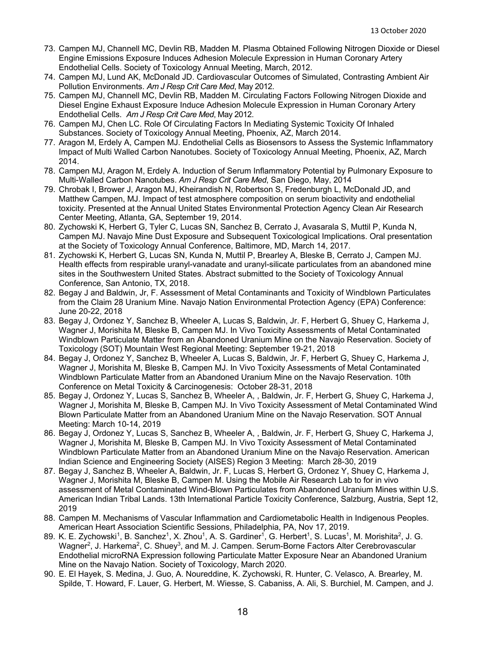- 73. Campen MJ, Channell MC, Devlin RB, Madden M. Plasma Obtained Following Nitrogen Dioxide or Diesel Engine Emissions Exposure Induces Adhesion Molecule Expression in Human Coronary Artery Endothelial Cells. Society of Toxicology Annual Meeting, March, 2012.
- 74. Campen MJ, Lund AK, McDonald JD. Cardiovascular Outcomes of Simulated, Contrasting Ambient Air Pollution Environments. *Am J Resp Crit Care Med*, May 2012.
- 75. Campen MJ, Channell MC, Devlin RB, Madden M. Circulating Factors Following Nitrogen Dioxide and Diesel Engine Exhaust Exposure Induce Adhesion Molecule Expression in Human Coronary Artery Endothelial Cells. *Am J Resp Crit Care Med*, May 2012.
- 76. Campen MJ, Chen LC. Role Of Circulating Factors In Mediating Systemic Toxicity Of Inhaled Substances. Society of Toxicology Annual Meeting, Phoenix, AZ, March 2014.
- 77. Aragon M, Erdely A, Campen MJ. Endothelial Cells as Biosensors to Assess the Systemic Inflammatory Impact of Multi Walled Carbon Nanotubes. Society of Toxicology Annual Meeting, Phoenix, AZ, March 2014.
- 78. Campen MJ, Aragon M, Erdely A. Induction of Serum Inflammatory Potential by Pulmonary Exposure to Multi-Walled Carbon Nanotubes. *Am J Resp Crit Care Med*, San Diego, May, 2014
- 79. Chrobak I, Brower J, Aragon MJ, Kheirandish N, Robertson S, Fredenburgh L, McDonald JD, and Matthew Campen, MJ. Impact of test atmosphere composition on serum bioactivity and endothelial toxicity. Presented at the Annual United States Environmental Protection Agency Clean Air Research Center Meeting, Atlanta, GA, September 19, 2014.
- 80. Zychowski K, Herbert G, Tyler C, Lucas SN, Sanchez B, Cerrato J, Avasarala S, Muttil P, Kunda N, Campen MJ. Navajo Mine Dust Exposure and Subsequent Toxicological Implications. Oral presentation at the Society of Toxicology Annual Conference, Baltimore, MD, March 14, 2017.
- 81. Zychowski K, Herbert G, Lucas SN, Kunda N, Muttil P, Brearley A, Bleske B, Cerrato J, Campen MJ. Health effects from respirable uranyl-vanadate and uranyl-silicate particulates from an abandoned mine sites in the Southwestern United States. Abstract submitted to the Society of Toxicology Annual Conference, San Antonio, TX, 2018.
- 82. Begay J and Baldwin, Jr, F. Assessment of Metal Contaminants and Toxicity of Windblown Particulates from the Claim 28 Uranium Mine. Navajo Nation Environmental Protection Agency (EPA) Conference: June 20-22, 2018
- 83. Begay J, Ordonez Y, Sanchez B, Wheeler A, Lucas S, Baldwin, Jr. F, Herbert G, Shuey C, Harkema J, Wagner J, Morishita M, Bleske B, Campen MJ. In Vivo Toxicity Assessments of Metal Contaminated Windblown Particulate Matter from an Abandoned Uranium Mine on the Navajo Reservation. Society of Toxicology (SOT) Mountain West Regional Meeting: September 19-21, 2018
- 84. Begay J, Ordonez Y, Sanchez B, Wheeler A, Lucas S, Baldwin, Jr. F, Herbert G, Shuey C, Harkema J, Wagner J, Morishita M, Bleske B, Campen MJ. In Vivo Toxicity Assessments of Metal Contaminated Windblown Particulate Matter from an Abandoned Uranium Mine on the Navajo Reservation. 10th Conference on Metal Toxicity & Carcinogenesis: October 28-31, 2018
- 85. Begay J, Ordonez Y, Lucas S, Sanchez B, Wheeler A, , Baldwin, Jr. F, Herbert G, Shuey C, Harkema J, Wagner J, Morishita M, Bleske B, Campen MJ. In Vivo Toxicity Assessment of Metal Contaminated Wind Blown Particulate Matter from an Abandoned Uranium Mine on the Navajo Reservation. SOT Annual Meeting: March 10-14, 2019
- 86. Begay J, Ordonez Y, Lucas S, Sanchez B, Wheeler A, , Baldwin, Jr. F, Herbert G, Shuey C, Harkema J, Wagner J, Morishita M, Bleske B, Campen MJ. In Vivo Toxicity Assessment of Metal Contaminated Windblown Particulate Matter from an Abandoned Uranium Mine on the Navajo Reservation. American Indian Science and Engineering Society (AISES) Region 3 Meeting: March 28-30, 2019
- 87. Begay J, Sanchez B, Wheeler A, Baldwin, Jr. F, Lucas S, Herbert G, Ordonez Y, Shuey C, Harkema J, Wagner J, Morishita M, Bleske B, Campen M. Using the Mobile Air Research Lab to for in vivo assessment of Metal Contaminated Wind-Blown Particulates from Abandoned Uranium Mines within U.S. American Indian Tribal Lands. 13th International Particle Toxicity Conference, Salzburg, Austria, Sept 12, 2019
- 88. Campen M. Mechanisms of Vascular Inflammation and Cardiometabolic Health in Indigenous Peoples. American Heart Association Scientific Sessions, Philadelphia, PA, Nov 17, 2019.
- 89. K. E. Zychowski<sup>1</sup>, B. Sanchez<sup>1</sup>, X. Zhou<sup>1</sup>, A. S. Gardiner<sup>1</sup>, G. Herbert<sup>1</sup>, S. Lucas<sup>1</sup>, M. Morishita<sup>2</sup>, J. G. Wagner<sup>2</sup>, J. Harkema<sup>2</sup>, C. Shuey<sup>3</sup>, and M. J. Campen. Serum-Borne Factors Alter Cerebrovascular Endothelial microRNA Expression following Particulate Matter Exposure Near an Abandoned Uranium Mine on the Navajo Nation. Society of Toxicology, March 2020.
- 90. E. El Hayek, S. Medina, J. Guo, A. Noureddine, K. Zychowski, R. Hunter, C. Velasco, A. Brearley, M. Spilde, T. Howard, F. Lauer, G. Herbert, M. Wiesse, S. Cabaniss, A. Ali, S. Burchiel, M. Campen, and J.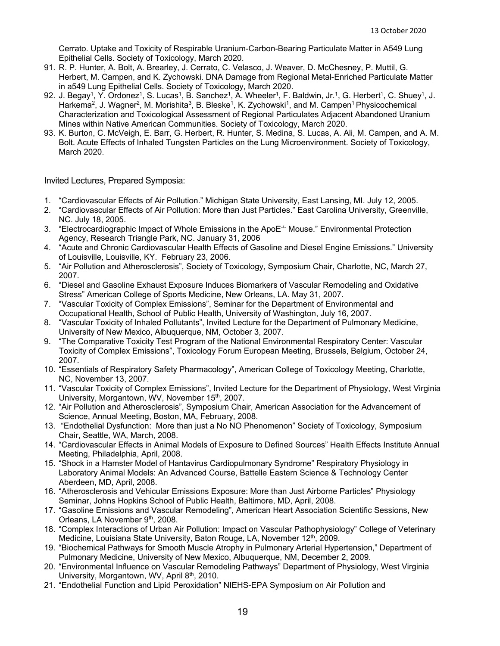Cerrato. Uptake and Toxicity of Respirable Uranium-Carbon-Bearing Particulate Matter in A549 Lung Epithelial Cells. Society of Toxicology, March 2020.

- 91. R. P. Hunter, A. Bolt, A. Brearley, J. Cerrato, C. Velasco, J. Weaver, D. McChesney, P. Muttil, G. Herbert, M. Campen, and K. Zychowski. DNA Damage from Regional Metal-Enriched Particulate Matter in a549 Lung Epithelial Cells. Society of Toxicology, March 2020.
- 92. J. Begay<sup>1</sup>, Y. Ordonez<sup>1</sup>, S. Lucas<sup>1</sup>, B. Sanchez<sup>1</sup>, A. Wheeler<sup>1</sup>, F. Baldwin, Jr.<sup>1</sup>, G. Herbert<sup>1</sup>, C. Shuey<sup>1</sup>, J. Harkema<sup>2</sup>, J. Wagner<sup>2</sup>, M. Morishita<sup>3</sup>, B. Bleske<sup>1</sup>, K. Zychowski<sup>1</sup>, and M. Campen<sup>1</sup> Physicochemical Characterization and Toxicological Assessment of Regional Particulates Adjacent Abandoned Uranium Mines within Native American Communities. Society of Toxicology, March 2020.
- 93. K. Burton, C. McVeigh, E. Barr, G. Herbert, R. Hunter, S. Medina, S. Lucas, A. Ali, M. Campen, and A. M. Bolt. Acute Effects of Inhaled Tungsten Particles on the Lung Microenvironment. Society of Toxicology, March 2020.

#### Invited Lectures, Prepared Symposia:

- 1. "Cardiovascular Effects of Air Pollution." Michigan State University, East Lansing, MI. July 12, 2005.
- 2. "Cardiovascular Effects of Air Pollution: More than Just Particles." East Carolina University, Greenville, NC. July 18, 2005.
- 3. "Electrocardiographic Impact of Whole Emissions in the ApoE<sup>-/-</sup> Mouse." Environmental Protection Agency, Research Triangle Park, NC. January 31, 2006
- 4. "Acute and Chronic Cardiovascular Health Effects of Gasoline and Diesel Engine Emissions." University of Louisville, Louisville, KY. February 23, 2006.
- 5. "Air Pollution and Atherosclerosis", Society of Toxicology, Symposium Chair, Charlotte, NC, March 27, 2007.
- 6. "Diesel and Gasoline Exhaust Exposure Induces Biomarkers of Vascular Remodeling and Oxidative Stress" American College of Sports Medicine, New Orleans, LA. May 31, 2007.
- 7. "Vascular Toxicity of Complex Emissions", Seminar for the Department of Environmental and Occupational Health, School of Public Health, University of Washington, July 16, 2007.
- 8. "Vascular Toxicity of Inhaled Pollutants", Invited Lecture for the Department of Pulmonary Medicine, University of New Mexico, Albuquerque, NM, October 3, 2007.
- 9. "The Comparative Toxicity Test Program of the National Environmental Respiratory Center: Vascular Toxicity of Complex Emissions", Toxicology Forum European Meeting, Brussels, Belgium, October 24, 2007.
- 10. "Essentials of Respiratory Safety Pharmacology", American College of Toxicology Meeting, Charlotte, NC, November 13, 2007.
- 11. "Vascular Toxicity of Complex Emissions", Invited Lecture for the Department of Physiology, West Virginia University, Morgantown, WV, November 15<sup>th</sup>, 2007.
- 12. "Air Pollution and Atherosclerosis", Symposium Chair, American Association for the Advancement of Science, Annual Meeting, Boston, MA, February, 2008.
- 13. "Endothelial Dysfunction: More than just a No NO Phenomenon" Society of Toxicology, Symposium Chair, Seattle, WA, March, 2008.
- 14. "Cardiovascular Effects in Animal Models of Exposure to Defined Sources" Health Effects Institute Annual Meeting, Philadelphia, April, 2008.
- 15. "Shock in a Hamster Model of Hantavirus Cardiopulmonary Syndrome" Respiratory Physiology in Laboratory Animal Models: An Advanced Course, Battelle Eastern Science & Technology Center Aberdeen, MD, April, 2008.
- 16. "Atherosclerosis and Vehicular Emissions Exposure: More than Just Airborne Particles" Physiology Seminar, Johns Hopkins School of Public Health, Baltimore, MD, April, 2008.
- 17. "Gasoline Emissions and Vascular Remodeling", American Heart Association Scientific Sessions, New Orleans, LA November 9th, 2008.
- 18. "Complex Interactions of Urban Air Pollution: Impact on Vascular Pathophysiology" College of Veterinary Medicine, Louisiana State University, Baton Rouge, LA, November 12<sup>th</sup>, 2009.
- 19. "Biochemical Pathways for Smooth Muscle Atrophy in Pulmonary Arterial Hypertension," Department of Pulmonary Medicine, University of New Mexico, Albuquerque, NM, December 2, 2009.
- 20. "Environmental Influence on Vascular Remodeling Pathways" Department of Physiology, West Virginia University, Morgantown, WV, April 8th, 2010.
- 21. "Endothelial Function and Lipid Peroxidation" NIEHS-EPA Symposium on Air Pollution and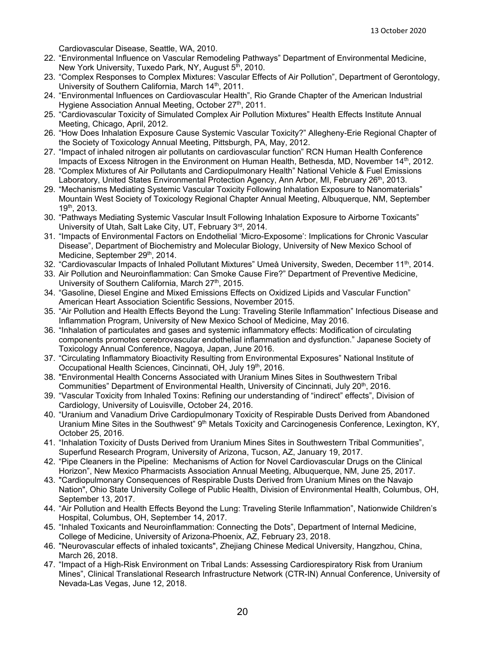Cardiovascular Disease, Seattle, WA, 2010.

- 22. "Environmental Influence on Vascular Remodeling Pathways" Department of Environmental Medicine, New York University, Tuxedo Park, NY, August 5<sup>th</sup>, 2010.
- 23. "Complex Responses to Complex Mixtures: Vascular Effects of Air Pollution", Department of Gerontology, University of Southern California, March 14<sup>th</sup>, 2011.
- 24. "Environmental Influences on Cardiovascular Health", Rio Grande Chapter of the American Industrial Hygiene Association Annual Meeting, October 27<sup>th</sup>, 2011.
- 25. "Cardiovascular Toxicity of Simulated Complex Air Pollution Mixtures" Health Effects Institute Annual Meeting, Chicago, April, 2012.
- 26. "How Does Inhalation Exposure Cause Systemic Vascular Toxicity?" Allegheny-Erie Regional Chapter of the Society of Toxicology Annual Meeting, Pittsburgh, PA, May, 2012.
- 27. "Impact of inhaled nitrogen air pollutants on cardiovascular function" RCN Human Health Conference Impacts of Excess Nitrogen in the Environment on Human Health, Bethesda, MD, November 14<sup>th</sup>, 2012.
- 28. "Complex Mixtures of Air Pollutants and Cardiopulmonary Health" National Vehicle & Fuel Emissions Laboratory, United States Environmental Protection Agency, Ann Arbor, MI, February 26<sup>th</sup>, 2013.
- 29. "Mechanisms Mediating Systemic Vascular Toxicity Following Inhalation Exposure to Nanomaterials" Mountain West Society of Toxicology Regional Chapter Annual Meeting, Albuquerque, NM, September 19th, 2013.
- 30. "Pathways Mediating Systemic Vascular Insult Following Inhalation Exposure to Airborne Toxicants" University of Utah, Salt Lake City, UT, February 3rd, 2014.
- 31. "Impacts of Environmental Factors on Endothelial 'Micro-Exposome': Implications for Chronic Vascular Disease", Department of Biochemistry and Molecular Biology, University of New Mexico School of Medicine, September 29th, 2014.
- 32. "Cardiovascular Impacts of Inhaled Pollutant Mixtures" Umeå University, Sweden, December 11<sup>th</sup>, 2014.
- 33. Air Pollution and Neuroinflammation: Can Smoke Cause Fire?" Department of Preventive Medicine, University of Southern California, March 27<sup>th</sup>, 2015.
- 34. "Gasoline, Diesel Engine and Mixed Emissions Effects on Oxidized Lipids and Vascular Function" American Heart Association Scientific Sessions, November 2015.
- 35. "Air Pollution and Health Effects Beyond the Lung: Traveling Sterile Inflammation" Infectious Disease and Inflammation Program, University of New Mexico School of Medicine, May 2016.
- 36. "Inhalation of particulates and gases and systemic inflammatory effects: Modification of circulating components promotes cerebrovascular endothelial inflammation and dysfunction." Japanese Society of Toxicology Annual Conference, Nagoya, Japan, June 2016.
- 37. "Circulating Inflammatory Bioactivity Resulting from Environmental Exposures" National Institute of Occupational Health Sciences, Cincinnati, OH, July 19<sup>th</sup>, 2016.
- 38. "Environmental Health Concerns Associated with Uranium Mines Sites in Southwestern Tribal Communities" Department of Environmental Health, University of Cincinnati, July 20th, 2016.
- 39. "Vascular Toxicity from Inhaled Toxins: Refining our understanding of "indirect" effects", Division of Cardiology, University of Louisville, October 24, 2016.
- 40. "Uranium and Vanadium Drive Cardiopulmonary Toxicity of Respirable Dusts Derived from Abandoned Uranium Mine Sites in the Southwest" 9<sup>th</sup> Metals Toxicity and Carcinogenesis Conference, Lexington, KY, October 25, 2016.
- 41. "Inhalation Toxicity of Dusts Derived from Uranium Mines Sites in Southwestern Tribal Communities", Superfund Research Program, University of Arizona, Tucson, AZ, January 19, 2017.
- 42. "Pipe Cleaners in the Pipeline: Mechanisms of Action for Novel Cardiovascular Drugs on the Clinical Horizon", New Mexico Pharmacists Association Annual Meeting, Albuquerque, NM, June 25, 2017.
- 43. "Cardiopulmonary Consequences of Respirable Dusts Derived from Uranium Mines on the Navajo Nation", Ohio State University College of Public Health, Division of Environmental Health, Columbus, OH, September 13, 2017.
- 44. "Air Pollution and Health Effects Beyond the Lung: Traveling Sterile Inflammation", Nationwide Children's Hospital, Columbus, OH, September 14, 2017.
- 45. "Inhaled Toxicants and Neuroinflammation: Connecting the Dots", Department of Internal Medicine, College of Medicine, University of Arizona-Phoenix, AZ, February 23, 2018.
- 46. "Neurovascular effects of inhaled toxicants", Zhejiang Chinese Medical University, Hangzhou, China, March 26, 2018.
- 47. "Impact of a High-Risk Environment on Tribal Lands: Assessing Cardiorespiratory Risk from Uranium Mines", Clinical Translational Research Infrastructure Network (CTR-IN) Annual Conference, University of Nevada-Las Vegas, June 12, 2018.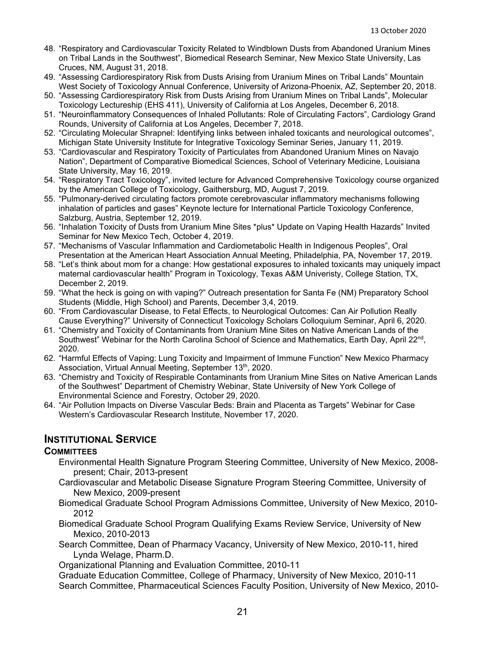- 48. "Respiratory and Cardiovascular Toxicity Related to Windblown Dusts from Abandoned Uranium Mines on Tribal Lands in the Southwest", Biomedical Research Seminar, New Mexico State University, Las Cruces, NM, August 31, 2018.
- 49. "Assessing Cardiorespiratory Risk from Dusts Arising from Uranium Mines on Tribal Lands" Mountain West Society of Toxicology Annual Conference, University of Arizona-Phoenix, AZ, September 20, 2018.
- 50. "Assessing Cardiorespiratory Risk from Dusts Arising from Uranium Mines on Tribal Lands", Molecular Toxicology Lectureship (EHS 411), University of California at Los Angeles, December 6, 2018.
- 51. "Neuroinflammatory Consequences of Inhaled Pollutants: Role of Circulating Factors", Cardiology Grand Rounds, University of California at Los Angeles, December 7, 2018.
- 52. "Circulating Molecular Shrapnel: Identifying links between inhaled toxicants and neurological outcomes", Michigan State University Institute for Integrative Toxicology Seminar Series, January 11, 2019.
- 53. "Cardiovascular and Respiratory Toxicity of Particulates from Abandoned Uranium Mines on Navajo Nation", Department of Comparative Biomedical Sciences, School of Veterinary Medicine, Louisiana State University, May 16, 2019.
- 54. "Respiratory Tract Toxicology", invited lecture for Advanced Comprehensive Toxicology course organized by the American College of Toxicology, Gaithersburg, MD, August 7, 2019.
- 55. "Pulmonary-derived circulating factors promote cerebrovascular inflammatory mechanisms following inhalation of particles and gases" Keynote lecture for International Particle Toxicology Conference, Salzburg, Austria, September 12, 2019.
- 56. "Inhalation Toxicity of Dusts from Uranium Mine Sites \*plus\* Update on Vaping Health Hazards" Invited Seminar for New Mexico Tech, October 4, 2019.
- 57. "Mechanisms of Vascular Inflammation and Cardiometabolic Health in Indigenous Peoples", Oral Presentation at the American Heart Association Annual Meeting, Philadelphia, PA, November 17, 2019.
- 58. "Let's think about mom for a change: How gestational exposures to inhaled toxicants may uniquely impact maternal cardiovascular health" Program in Toxicology, Texas A&M Univeristy, College Station, TX, December 2, 2019.
- 59. "What the heck is going on with vaping?" Outreach presentation for Santa Fe (NM) Preparatory School Students (Middle, High School) and Parents, December 3,4, 2019.
- 60. "From Cardiovascular Disease, to Fetal Effects, to Neurological Outcomes: Can Air Pollution Really Cause Everything?" University of Connecticut Toxicology Scholars Colloquium Seminar, April 6, 2020.
- 61. "Chemistry and Toxicity of Contaminants from Uranium Mine Sites on Native American Lands of the Southwest" Webinar for the North Carolina School of Science and Mathematics, Earth Day, April 22<sup>nd</sup>, 2020.
- 62. "Harmful Effects of Vaping: Lung Toxicity and Impairment of Immune Function" New Mexico Pharmacy Association, Virtual Annual Meeting, September 13<sup>th</sup>, 2020.
- 63. "Chemistry and Toxicity of Respirable Contaminants from Uranium Mine Sites on Native American Lands of the Southwest" Department of Chemistry Webinar, State University of New York College of Environmental Science and Forestry, October 29, 2020.
- 64. "Air Pollution Impacts on Diverse Vascular Beds: Brain and Placenta as Targets" Webinar for Case Western's Cardiovascular Research Institute, November 17, 2020.

## **INSTITUTIONAL SERVICE**

### **COMMITTEES**

- Environmental Health Signature Program Steering Committee, University of New Mexico, 2008 present; Chair, 2013-present
- Cardiovascular and Metabolic Disease Signature Program Steering Committee, University of New Mexico, 2009-present
- Biomedical Graduate School Program Admissions Committee, University of New Mexico, 2010- 2012
- Biomedical Graduate School Program Qualifying Exams Review Service, University of New Mexico, 2010-2013
- Search Committee, Dean of Pharmacy Vacancy, University of New Mexico, 2010-11, hired Lynda Welage, Pharm.D.
- Organizational Planning and Evaluation Committee, 2010-11

Graduate Education Committee, College of Pharmacy, University of New Mexico, 2010-11 Search Committee, Pharmaceutical Sciences Faculty Position, University of New Mexico, 2010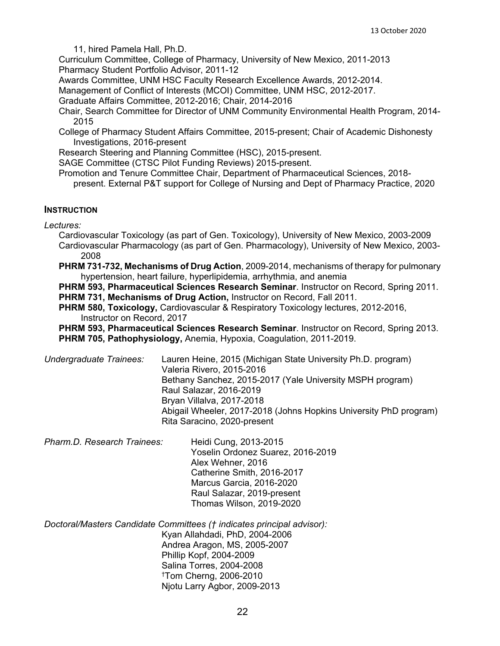11, hired Pamela Hall, Ph.D.

Curriculum Committee, College of Pharmacy, University of New Mexico, 2011-2013 Pharmacy Student Portfolio Advisor, 2011-12

Awards Committee, UNM HSC Faculty Research Excellence Awards, 2012-2014.

Management of Conflict of Interests (MCOI) Committee, UNM HSC, 2012-2017.

Graduate Affairs Committee, 2012-2016; Chair, 2014-2016

Chair, Search Committee for Director of UNM Community Environmental Health Program, 2014- 2015

College of Pharmacy Student Affairs Committee, 2015-present; Chair of Academic Dishonesty Investigations, 2016-present

Research Steering and Planning Committee (HSC), 2015-present.

SAGE Committee (CTSC Pilot Funding Reviews) 2015-present.

Promotion and Tenure Committee Chair, Department of Pharmaceutical Sciences, 2018 present. External P&T support for College of Nursing and Dept of Pharmacy Practice, 2020

#### **INSTRUCTION**

*Lectures:*

Cardiovascular Toxicology (as part of Gen. Toxicology), University of New Mexico, 2003-2009 Cardiovascular Pharmacology (as part of Gen. Pharmacology), University of New Mexico, 2003- 2008

**PHRM 731-732, Mechanisms of Drug Action**, 2009-2014, mechanisms of therapy for pulmonary hypertension, heart failure, hyperlipidemia, arrhythmia, and anemia

**PHRM 593, Pharmaceutical Sciences Research Seminar**. Instructor on Record, Spring 2011. **PHRM 731, Mechanisms of Drug Action,** Instructor on Record, Fall 2011.

**PHRM 580, Toxicology,** Cardiovascular & Respiratory Toxicology lectures, 2012-2016, Instructor on Record, 2017

**PHRM 593, Pharmaceutical Sciences Research Seminar**. Instructor on Record, Spring 2013. **PHRM 705, Pathophysiology,** Anemia, Hypoxia, Coagulation, 2011-2019.

*Undergraduate Trainees:* Lauren Heine, 2015 (Michigan State University Ph.D. program) Valeria Rivero, 2015-2016 Bethany Sanchez, 2015-2017 (Yale University MSPH program) Raul Salazar, 2016-2019 Bryan Villalva, 2017-2018 Abigail Wheeler, 2017-2018 (Johns Hopkins University PhD program) Rita Saracino, 2020-present

*Pharm.D. Research Trainees:* Heidi Cung, 2013-2015 Yoselin Ordonez Suarez, 2016-2019 Alex Wehner, 2016 Catherine Smith, 2016-2017 Marcus Garcia, 2016-2020 Raul Salazar, 2019-present Thomas Wilson, 2019-2020

*Doctoral/Masters Candidate Committees († indicates principal advisor):* Kyan Allahdadi, PhD, 2004-2006 Andrea Aragon, MS, 2005-2007 Phillip Kopf, 2004-2009 Salina Torres, 2004-2008 †Tom Cherng, 2006-2010 Njotu Larry Agbor, 2009-2013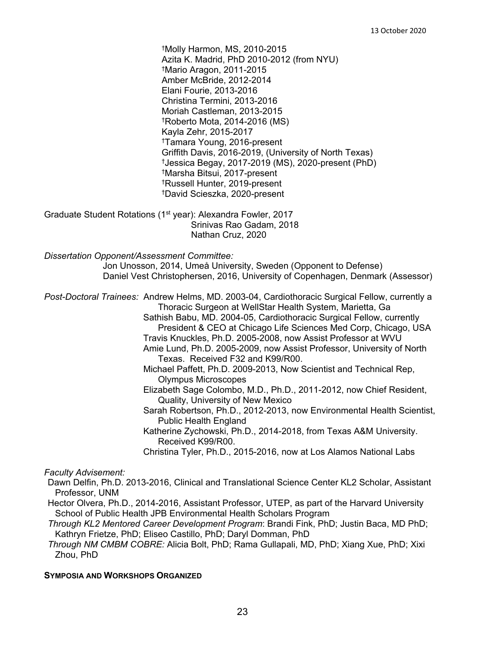†Molly Harmon, MS, 2010-2015 Azita K. Madrid, PhD 2010-2012 (from NYU) †Mario Aragon, 2011-2015 Amber McBride, 2012-2014 Elani Fourie, 2013-2016 Christina Termini, 2013-2016 Moriah Castleman, 2013-2015 †Roberto Mota, 2014-2016 (MS) Kayla Zehr, 2015-2017 †Tamara Young, 2016-present Griffith Davis, 2016-2019, (University of North Texas) †Jessica Begay, 2017-2019 (MS), 2020-present (PhD) †Marsha Bitsui, 2017-present †Russell Hunter, 2019-present †David Scieszka, 2020-present

Graduate Student Rotations (1<sup>st</sup> year): Alexandra Fowler, 2017 Srinivas Rao Gadam, 2018 Nathan Cruz, 2020

*Dissertation Opponent/Assessment Committee:*

Jon Unosson, 2014, Umeå University, Sweden (Opponent to Defense) Daniel Vest Christophersen, 2016, University of Copenhagen, Denmark (Assessor)

*Post-Doctoral Trainees:* Andrew Helms, MD. 2003-04, Cardiothoracic Surgical Fellow, currently a Thoracic Surgeon at WellStar Health System, Marietta, Ga

- Sathish Babu, MD. 2004-05, Cardiothoracic Surgical Fellow, currently President & CEO at Chicago Life Sciences Med Corp, Chicago, USA
- Travis Knuckles, Ph.D. 2005-2008, now Assist Professor at WVU
- Amie Lund, Ph.D. 2005-2009, now Assist Professor, University of North Texas. Received F32 and K99/R00.
- Michael Paffett, Ph.D. 2009-2013, Now Scientist and Technical Rep, Olympus Microscopes
- Elizabeth Sage Colombo, M.D., Ph.D., 2011-2012, now Chief Resident, Quality, University of New Mexico
- Sarah Robertson, Ph.D., 2012-2013, now Environmental Health Scientist, Public Health England
- Katherine Zychowski, Ph.D., 2014-2018, from Texas A&M University. Received K99/R00.
- Christina Tyler, Ph.D., 2015-2016, now at Los Alamos National Labs

*Faculty Advisement:*

- Dawn Delfin, Ph.D. 2013-2016, Clinical and Translational Science Center KL2 Scholar, Assistant Professor, UNM
- Hector Olvera, Ph.D., 2014-2016, Assistant Professor, UTEP, as part of the Harvard University School of Public Health JPB Environmental Health Scholars Program
- *Through KL2 Mentored Career Development Program*: Brandi Fink, PhD; Justin Baca, MD PhD; Kathryn Frietze, PhD; Eliseo Castillo, PhD; Daryl Domman, PhD

*Through NM CMBM COBRE:* Alicia Bolt, PhD; Rama Gullapali, MD, PhD; Xiang Xue, PhD; Xixi Zhou, PhD

#### **SYMPOSIA AND WORKSHOPS ORGANIZED**